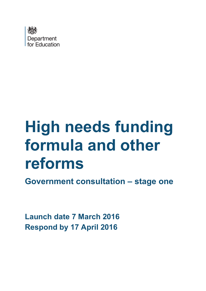

# **High needs funding formula and other reforms**

**Government consultation – stage one**

<span id="page-0-0"></span>**Launch date 7 March 2016 Respond by 17 April 2016**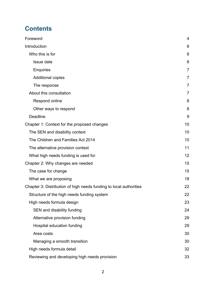## **Contents**

| Foreword                                                           | 4              |
|--------------------------------------------------------------------|----------------|
| Introduction                                                       | 6              |
| Who this is for                                                    | 6              |
| Issue date                                                         | 6              |
| Enquiries                                                          | 7              |
| <b>Additional copies</b>                                           | 7              |
| The response                                                       | $\overline{7}$ |
| About this consultation                                            | $\overline{7}$ |
| Respond online                                                     | 8              |
| Other ways to respond                                              | 8              |
| <b>Deadline</b>                                                    | 9              |
| Chapter 1: Context for the proposed changes                        | 10             |
| The SEN and disability context                                     | 10             |
| The Children and Families Act 2014                                 | 10             |
| The alternative provision context                                  | 11             |
| What high needs funding is used for                                | 12             |
| Chapter 2: Why changes are needed                                  | 15             |
| The case for change                                                | 15             |
| What we are proposing                                              | 18             |
| Chapter 3: Distribution of high needs funding to local authorities | 22             |
| Structure of the high needs funding system                         | 22             |
| High needs formula design                                          | 23             |
| SEN and disability funding                                         | 24             |
| Alternative provision funding                                      | 29             |
| Hospital education funding                                         | 29             |
| Area costs                                                         | 30             |
| Managing a smooth transition                                       | 30             |
| High needs formula detail                                          | 32             |
| Reviewing and developing high needs provision                      | 33             |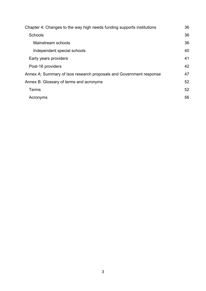| Chapter 4: Changes to the way high needs funding supports institutions | 36 |  |
|------------------------------------------------------------------------|----|--|
| <b>Schools</b>                                                         | 36 |  |
| Mainstream schools                                                     | 36 |  |
| Independent special schools                                            | 40 |  |
| Early years providers                                                  | 41 |  |
| Post-16 providers                                                      | 42 |  |
| Annex A: Summary of Isos research proposals and Government response    |    |  |
| Annex B: Glossary of terms and acronyms                                | 52 |  |
| Terms                                                                  | 52 |  |
| Acronyms                                                               | 56 |  |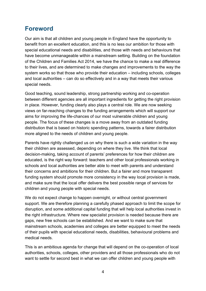## <span id="page-3-0"></span>**Foreword**

Our aim is that all children and young people in England have the opportunity to benefit from an excellent education, and this is no less our ambition for those with special educational needs and disabilities, and those with needs and behaviours that have become unmanageable within a mainstream setting. Building on the foundation of the Children and Families Act 2014, we have the chance to make a real difference to their lives, and are determined to make changes and improvements to the way the system works so that those who provide their education – including schools, colleges and local authorities – can do so effectively and in a way that meets their various special needs.

Good teaching, sound leadership, strong partnership working and co-operation between different agencies are all important ingredients for getting the right provision in place. However, funding clearly also plays a central role. We are now seeking views on far-reaching changes to the funding arrangements which will support our aims for improving the life-chances of our most vulnerable children and young people. The focus of these changes is a move away from an outdated funding distribution that is based on historic spending patterns, towards a fairer distribution more aligned to the needs of children and young people.

Parents have rightly challenged us on why there is such a wide variation in the way their children are assessed, depending on where they live. We think that local decision-making, taking account of parents' preferences for how their children are educated, is the right way forward: teachers and other local professionals working in schools and local authorities are better able to meet with parents and understand their concerns and ambitions for their children. But a fairer and more transparent funding system should promote more consistency in the way local provision is made, and make sure that the local offer delivers the best possible range of services for children and young people with special needs.

We do not expect change to happen overnight, or without central government support. We are therefore planning a carefully phased approach to limit the scope for disruption, and some additional capital funding that will help local authorities invest in the right infrastructure. Where new specialist provision is needed because there are gaps, new free schools can be established. And we want to make sure that mainstream schools, academies and colleges are better equipped to meet the needs of their pupils with special educational needs, disabilities, behavioural problems and medical needs.

This is an ambitious agenda for change that will depend on the co-operation of local authorities, schools, colleges, other providers and all those professionals who do not want to settle for second best in what we can offer children and young people with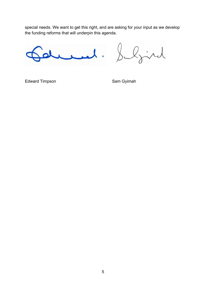special needs. We want to get this right, and are asking for your input as we develop the funding reforms that will underpin this agenda.

 $\mathcal{L}_{\bullet}$ 

ljird

Edward Timpson Sam Gyimah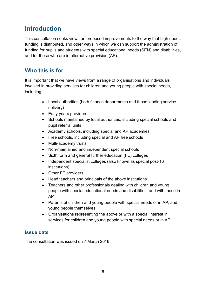## <span id="page-5-0"></span>**Introduction**

This consultation seeks views on proposed improvements to the way that high needs funding is distributed, and other ways in which we can support the administration of funding for pupils and students with special educational needs (SEN) and disabilities, and for those who are in alternative provision (AP).

## <span id="page-5-1"></span>**Who this is for**

It is important that we have views from a range of organisations and individuals involved in providing services for children and young people with special needs, including:

- Local authorities (both finance departments and those leading service delivery)
- Early years providers
- Schools maintained by local authorities, including special schools and pupil referral units
- Academy schools, including special and AP academies
- Free schools, including special and AP free schools
- Multi-academy trusts
- Non-maintained and independent special schools
- Sixth form and general further education (FE) colleges
- Independent specialist colleges (also known as special post-16 institutions)
- Other FE providers
- Head teachers and principals of the above institutions
- Teachers and other professionals dealing with children and young people with special educational needs and disabilities, and with those in AP
- Parents of children and young people with special needs or in AP, and young people themselves
- Organisations representing the above or with a special interest in services for children and young people with special needs or in AP

#### <span id="page-5-2"></span>**Issue date**

The consultation was issued on 7 March 2016.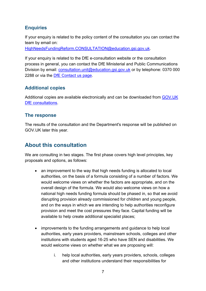#### <span id="page-6-0"></span>**Enquiries**

If your enquiry is related to the policy content of the consultation you can contact the team by email on:

[HighNeedsFundingReform.CONSULTATION@education.gsi.gov.uk.](mailto:HighNeedsFundingReform.CONSULTATION@education.gsi.gov.uk)

If your enquiry is related to the DfE e-consultation website or the consultation process in general, you can contact the DfE Ministerial and Public Communications Division by email: [consultation.unit@education.gsi.gov.uk](mailto:consultation.unit@education.gsi.gov.uk) or by telephone: 0370 000 2288 or via the [DfE Contact us page.](https://form.education.gov.uk/fillform.php?self=1&form_id=cCCNJ1xSfBE&type=form&ShowMsg=1&form_name=Contact+the+Department+for+Education&noRegister=false&ret=%2Fmodule%2Fservices&noLoginPrompt=1)

#### <span id="page-6-1"></span>**Additional copies**

Additional copies are available electronically and can be downloaded from [GOV.UK](https://www.gov.uk/government/publications?keywords=&publication_filter_option=consultations&topics%5B%5D=all&departments%5B%5D=department-for-education&official_document_status=all&world_locations%5B%5D=all&from_date=&to_date=&commit=Refresh+results)  [DfE consultations.](https://www.gov.uk/government/publications?keywords=&publication_filter_option=consultations&topics%5B%5D=all&departments%5B%5D=department-for-education&official_document_status=all&world_locations%5B%5D=all&from_date=&to_date=&commit=Refresh+results)

#### <span id="page-6-2"></span>**The response**

The results of the consultation and the Department's response will be [published on](https://www.gov.uk/government/publications?departments%5B%5D=department-for-education&publication_filter_option=consultations)  [GOV.UK](https://www.gov.uk/government/publications?departments%5B%5D=department-for-education&publication_filter_option=consultations) later this year.

## <span id="page-6-3"></span>**About this consultation**

We are consulting in two stages. The first phase covers high level principles, key proposals and options, as follows:

- an improvement to the way that high needs funding is allocated to local authorities, on the basis of a formula consisting of a number of factors. We would welcome views on whether the factors are appropriate, and on the overall design of the formula. We would also welcome views on how a national high needs funding formula should be phased in, so that we avoid disrupting provision already commissioned for children and young people, and on the ways in which we are intending to help authorities reconfigure provision and meet the cost pressures they face. Capital funding will be available to help create additional specialist places;
- improvements to the funding arrangements and guidance to help local authorities, early years providers, mainstream schools, colleges and other institutions with students aged 16-25 who have SEN and disabilities. We would welcome views on whether what we are proposing will:
	- i. help local authorities, early years providers, schools, colleges and other institutions understand their responsibilities for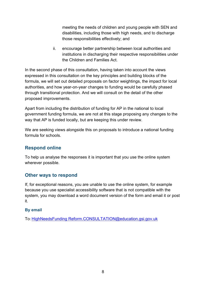meeting the needs of children and young people with SEN and disabilities, including those with high needs, and to discharge those responsibilities effectively; and

ii. encourage better partnership between local authorities and institutions in discharging their respective responsibilities under the Children and Families Act.

In the second phase of this consultation, having taken into account the views expressed in this consultation on the key principles and building blocks of the formula, we will set out detailed proposals on factor weightings, the impact for local authorities, and how year-on-year changes to funding would be carefully phased through transitional protection. And we will consult on the detail of the other proposed improvements.

Apart from including the distribution of funding for AP in the national to local government funding formula, we are not at this stage proposing any changes to the way that AP is funded locally, but are keeping this under review.

We are seeking views alongside this on proposals to introduce a national funding formula for schools.

#### <span id="page-7-0"></span>**Respond online**

To help us analyse the responses it is important that you use the online system wherever possible.

#### <span id="page-7-1"></span>**Other ways to respond**

If, for exceptional reasons, you are unable to use the online system, for example because you use specialist accessibility software that is not compatible with the system, you may download a word document version of the form and email it or post it.

#### **By email**

To: [HighNeedsFunding Reform.CONSULTATION@education.gsi.gov.uk](mailto:HighNeedsFunding%20Reform.CONSULTATION@education.gsi.gov.uk)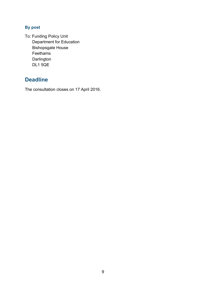#### **By post**

To: Funding Policy Unit Department for Education Bishopsgate House Feethams **Darlington** DL1 5QE

## <span id="page-8-0"></span>**Deadline**

The consultation closes on 17 April 2016.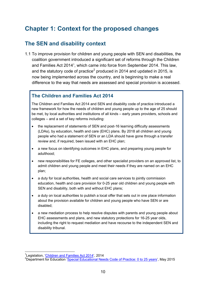## <span id="page-9-0"></span>**Chapter 1: Context for the proposed changes**

## <span id="page-9-1"></span>**The SEN and disability context**

1.1 To improve provision for children and young people with SEN and disabilities, the coalition government introduced a significant set of reforms through the Children and Families Act 20[1](#page-0-0)4<sup>1</sup>, which came into force from September 2014. This law, and the statutory code of practice<sup>[2](#page-9-3)</sup> produced in 2014 and updated in 2015, is now being implemented across the country, and is beginning to make a real difference to the way that needs are assessed and special provision is accessed.

#### <span id="page-9-2"></span>**The Children and Families Act 2014**

The Children and Families Act 2014 and SEN and disability code of practice introduced a new framework for how the needs of children and young people up to the age of 25 should be met, by local authorities and institutions of all kinds – early years providers, schools and colleges – and a set of key reforms including:

- the replacement of statements of SEN and post-16 learning difficulty assessments (LDAs), by education, health and care (EHC) plans. By 2018 all children and young people who had a statement of SEN or an LDA should have gone through a transfer review and, if required, been issued with an EHC plan;
- a new focus on identifying outcomes in EHC plans, and preparing young people for adulthood;
- new responsibilities for FE colleges, and other specialist providers on an approved list, to admit children and young people and meet their needs if they are named on an EHC plan;
- a duty for local authorities, health and social care services to jointly commission education, health and care provision for 0-25 year old children and young people with SEN and disability, both with and without EHC plans;
- a duty on local authorities to publish a local offer that sets out in one place information about the provision available for children and young people who have SEN or are disabled;
- a new mediation process to help resolve disputes with parents and young people about EHC assessments and plans, and new statutory protections for 16-25 year olds, including the right to request mediation and have recourse to the independent SEN and disability tribunal.

1 Legislation, ['Children and Families Act 2014'](http://www.legislation.gov.uk/ukpga/2014/6/contents/enacted), 2014

<span id="page-9-3"></span><sup>&</sup>lt;sup>2</sup>Department for Education ['Special Educational Needs Code of Practice: 0 to 25 years'](https://www.gov.uk/government/publications/send-code-of-practice-0-to-25), May 2015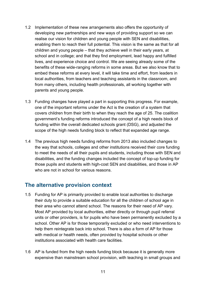- 1.2 Implementation of these new arrangements also offers the opportunity of developing new partnerships and new ways of providing support so we can realise our vision for children and young people with SEN and disabilities, enabling them to reach their full potential. This vision is the same as that for all children and young people – that they achieve well in their early years, at school and in college; and that they find employment, lead happy and fulfilled lives, and experience choice and control. We are seeing already some of the benefits of these wide-ranging reforms in some areas. But we also know that to embed these reforms at every level, it will take time and effort, from leaders in local authorities, from teachers and teaching assistants in the classroom, and from many others, including health professionals, all working together with parents and young people.
- 1.3 Funding changes have played a part in supporting this progress. For example, one of the important reforms under the Act is the creation of a system that covers children from their birth to when they reach the age of 25. The coalition government's funding reforms introduced the concept of a high needs block of funding within the overall dedicated schools grant (DSG), and adjusted the scope of the high needs funding block to reflect that expanded age range.
- 1.4 The previous high needs funding reforms from 2013 also included changes to the way that schools, colleges and other institutions received their core funding to meet the needs of all their pupils and students, including those with SEN and disabilities, and the funding changes included the concept of top-up funding for those pupils and students with high-cost SEN and disabilities, and those in AP who are not in school for various reasons.

## <span id="page-10-0"></span>**The alternative provision context**

- 1.5 Funding for AP is primarily provided to enable local authorities to discharge their duty to provide a suitable education for all the children of school age in their area who cannot attend school. The reasons for their need of AP vary. Most AP provided by local authorities, either directly or through pupil referral units or other providers, is for pupils who have been permanently excluded by a school. Other AP is for those temporarily excluded or who need interventions to help them reintegrate back into school. There is also a form of AP for those with medical or health needs, often provided by hospital schools or other institutions associated with health care facilities.
- 1.6 AP is funded from the high needs funding block because it is generally more expensive than mainstream school provision, with teaching in small groups and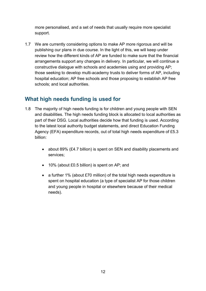more personalised, and a set of needs that usually require more specialist support.

1.7 We are currently considering options to make AP more rigorous and will be publishing our plans in due course. In the light of this, we will keep under review how the different kinds of AP are funded to make sure that the financial arrangements support any changes in delivery. In particular, we will continue a constructive dialogue with schools and academies using and providing AP; those seeking to develop multi-academy trusts to deliver forms of AP, including hospital education; AP free schools and those proposing to establish AP free schools; and local authorities.

## <span id="page-11-0"></span>**What high needs funding is used for**

- 1.8 The majority of high needs funding is for children and young people with SEN and disabilities. The high needs funding block is allocated to local authorities as part of their DSG. Local authorities decide how that funding is used. According to the latest local authority budget statements, and direct Education Funding Agency (EFA) expenditure records, out of total high needs expenditure of £5.3 billion:
	- about 89% (£4.7 billion) is spent on SEN and disability placements and services;
	- 10% (about £0.5 billion) is spent on AP; and
	- a further 1% (about £70 million) of the total high needs expenditure is spent on hospital education (a type of specialist AP for those children and young people in hospital or elsewhere because of their medical needs).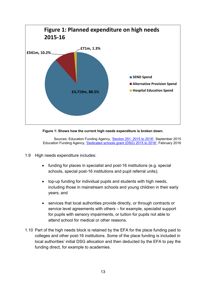

**Figure 1: Shows how the current high needs expenditure is broken down.**

Sources: Education Funding Agency, ['Section 251: 2015 to 2016',](https://www.gov.uk/guidance/section-251-2015-to-2016) September 2015 Education Funding Agency, ['Dedicated schools grant \(DSG\) 2015 to 2016',](https://www.gov.uk/government/publications/dedicated-schools-grant-dsg-2015-to-2016) February 2016

- 1.9 High needs expenditure includes:
	- funding for places in specialist and post-16 institutions (e.g. special schools, special post-16 institutions and pupil referral units);
	- top-up funding for individual pupils and students with high needs, including those in mainstream schools and young children in their early years; and
	- services that local authorities provide directly, or through contracts or service level agreements with others – for example, specialist support for pupils with sensory impairments, or tuition for pupils not able to attend school for medical or other reasons.
- 1.10 Part of the high needs block is retained by the EFA for the place funding paid to colleges and other post-16 institutions. Some of the place funding is included in local authorities' initial DSG allocation and then deducted by the EFA to pay the funding direct, for example to academies.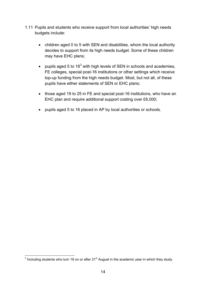- 1.11 Pupils and students who receive support from local authorities' high needs budgets include:
	- children aged 0 to 5 with SEN and disabilities, whom the local authority decides to support from its high needs budget. Some of these children may have EHC plans;
	- pupils aged 5 to  $18<sup>3</sup>$  $18<sup>3</sup>$  $18<sup>3</sup>$  with high levels of SEN in schools and academies, FE colleges, special post-16 institutions or other settings which receive top-up funding from the high needs budget. Most, but not all, of these pupils have either statements of SEN or EHC plans;
	- those aged 19 to 25 in FE and special post-16 institutions, who have an EHC plan and require additional support costing over £6,000;
	- pupils aged 5 to 16 placed in AP by local authorities or schools.

<span id="page-13-0"></span> $3$  Including students who turn 19 on or after 31 $\mathrm{^{st}}$  August in the academic year in which they study.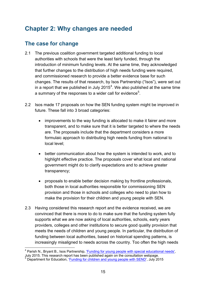## <span id="page-14-0"></span>**Chapter 2: Why changes are needed**

## <span id="page-14-1"></span>**The case for change**

- 2.1 The previous coalition government targeted additional funding to local authorities with schools that were the least fairly funded, through the introduction of minimum funding levels. At the same time, they acknowledged that further changes to the distribution of high needs funding were required, and commissioned research to provide a better evidence base for such changes. The results of that research, by Isos Partnership ("Isos"), were set out in a report that we published in July 2015<sup>[4](#page-13-0)</sup>. We also published at the same time a summary of the responses to a wider call for evidence<sup>[5](#page-14-2)</sup>.
- 2.2 Isos made 17 proposals on how the SEN funding system might be improved in future. These fall into 3 broad categories:
	- improvements to the way funding is allocated to make it fairer and more transparent, and to make sure that it is better targeted to where the needs are. The proposals include that the department considers a more formulaic approach to distributing high needs funding from national to local level;
	- better communication about how the system is intended to work, and to highlight effective practice. The proposals cover what local and national government might do to clarify expectations and to achieve greater transparency;
	- proposals to enable better decision making by frontline professionals, both those in local authorities responsible for commissioning SEN provision and those in schools and colleges who need to plan how to make the provision for their children and young people with SEN.
- 2.3 Having considered this research report and the evidence received, we are convinced that there is more to do to make sure that the funding system fully supports what we are now asking of local authorities, schools, early years providers, colleges and other institutions to secure good quality provision that meets the needs of children and young people. In particular, the distribution of funding between local authorities, based on historical spending patterns, is increasingly misaligned to needs across the country. Too often the high needs

<span id="page-14-3"></span><sup>4</sup> Parish N., Bryant B., Isos Partnership, ['Funding for young people with special educational needs',](https://www.gov.uk/government/publications/funding-for-young-people-with-special-educational-needs) July 2015. This research report has been published again on the consultation webpage.<br><sup>5</sup> Department for Education, ['Funding for children and young people with SEND'](https://www.gov.uk/government/consultations/funding-for-children-and-young-people-with-send), July 2015

<span id="page-14-2"></span>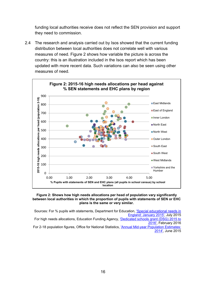funding local authorities receive does not reflect the SEN provision and support they need to commission.

2.4 The research and analysis carried out by Isos showed that the current funding distribution between local authorities does not correlate well with various measures of need. Figure 2 shows how variable the picture is across the country: this is an illustration included in the Isos report which has been updated with more recent data. Such variations can also be seen using other measures of need.



#### **Figure 2: Shows how high needs allocations per head of population vary significantly between local authorities in which the proportion of pupils with statements of SEN or EHC plans is the same or very similar.**

Sources: For % pupils with statements, Department for Education, ['Special educational needs in](https://www.gov.uk/government/statistics/special-educational-needs-in-england-january-2015)  [England: January 2015',](https://www.gov.uk/government/statistics/special-educational-needs-in-england-january-2015) July 2015 For high needs allocations, Education Funding Agency, ['Dedicated schools grant \(DSG\) 2015 to](https://www.gov.uk/government/publications/dedicated-schools-grant-dsg-2015-to-2016)  [2016',](https://www.gov.uk/government/publications/dedicated-schools-grant-dsg-2015-to-2016) February 2016 For 2-18 population figures, Office for National Statistics, ['Annual Mid-year Population Estimates:](http://www.ons.gov.uk/ons/rel/pop-estimate/population-estimates-for-uk--england-and-wales--scotland-and-northern-ireland/mid-2014/index.html)  [2014',](http://www.ons.gov.uk/ons/rel/pop-estimate/population-estimates-for-uk--england-and-wales--scotland-and-northern-ireland/mid-2014/index.html) June 2015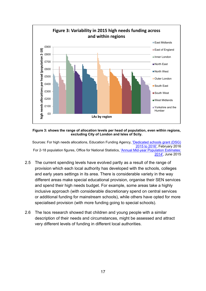

#### **Figure 3: shows the range of allocation levels per head of population, even within regions, excluding City of London and Isles of Scily.**

Sources: For high needs allocations, Education Funding Agency, ['Dedicated schools grant \(DSG\)](https://www.gov.uk/government/publications/dedicated-schools-grant-dsg-2015-to-2016)  [2015 to 2016',](https://www.gov.uk/government/publications/dedicated-schools-grant-dsg-2015-to-2016) February 2016 For 2-18 population figures, Office for National Statistics, ['Annual Mid-year Population Estimates:](http://www.ons.gov.uk/ons/rel/pop-estimate/population-estimates-for-uk--england-and-wales--scotland-and-northern-ireland/mid-2014/index.html)  [2014',](http://www.ons.gov.uk/ons/rel/pop-estimate/population-estimates-for-uk--england-and-wales--scotland-and-northern-ireland/mid-2014/index.html) June 2015

- 2.5 The current spending levels have evolved partly as a result of the range of provision which each local authority has developed with the schools, colleges and early years settings in its area. There is considerable variety in the way different areas make special educational provision, organise their SEN services and spend their high needs budget. For example, some areas take a highly inclusive approach (with considerable discretionary spend on central services or additional funding for mainstream schools), while others have opted for more specialised provision (with more funding going to special schools).
- 2.6 The Isos research showed that children and young people with a similar description of their needs and circumstances, might be assessed and attract very different levels of funding in different local authorities.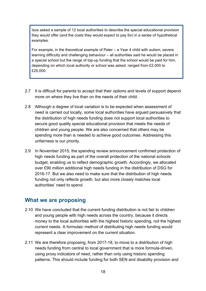Isos asked a sample of 12 local authorities to describe the special educational provision they would offer (and the costs they would expect to pay for) in a series of hypothetical examples.

For example, in the theoretical example of Peter – a Year 4 child with autism, severe learning difficulty and challenging behaviour – all authorities said he would be placed in a special school but the range of top-up funding that the school would be paid for him, depending on which local authority or school was asked, ranged from £2,000 to £25,000.

- 2.7 It is difficult for parents to accept that their options and levels of support depend more on where they live than on the needs of their child.
- 2.8 Although a degree of local variation is to be expected when assessment of need is carried out locally, some local authorities have argued persuasively that the distribution of high needs funding does not support local authorities to secure good quality special educational provision that meets the needs of children and young people. We are also concerned that others may be spending more than is needed to achieve good outcomes. Addressing this unfairness is our priority.
- 2.9 In November 2015, the spending review announcement confirmed protection of high needs funding as part of the overall protection of the national schools budget, enabling us to reflect demographic growth. Accordingly, we allocated over £90 million additional high needs funding in the distribution of DSG for 2016-17. But we also need to make sure that the distribution of high needs funding not only reflects growth, but also more closely matches local authorities' need to spend.

#### <span id="page-17-0"></span>**What we are proposing**

- 2.10 We have concluded that the current funding distribution is not fair to children and young people with high needs across the country, because it directs money to the local authorities with the highest historic spending, not the highest current needs. A formulaic method of distributing high needs funding would represent a clear improvement on the current situation.
- 2.11 We are therefore proposing, from 2017-18, to move to a distribution of high needs funding from central to local government that is more formula-driven, using proxy indicators of need, rather than only using historic spending patterns. This should include funding for both SEN and disability provision and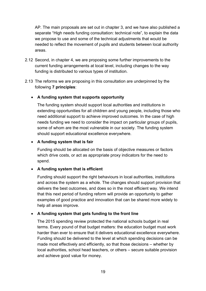AP. The main proposals are set out in chapter 3, and we have also published a separate "High needs funding consultation: technical note", to explain the data we propose to use and some of the technical adjustments that would be needed to reflect the movement of pupils and students between local authority areas.

- 2.12 Second, in chapter 4, we are proposing some further improvements to the current funding arrangements at local level, including changes to the way funding is distributed to various types of institution.
- 2.13 The reforms we are proposing in this consultation are underpinned by the following **7 principles**:

#### • **A funding system that supports opportunity**

The funding system should support local authorities and institutions in extending opportunities for all children and young people, including those who need additional support to achieve improved outcomes. In the case of high needs funding we need to consider the impact on particular groups of pupils, some of whom are the most vulnerable in our society. The funding system should support educational excellence everywhere.

#### • **A funding system that is fair**

Funding should be allocated on the basis of objective measures or factors which drive costs, or act as appropriate proxy indicators for the need to spend.

#### • **A funding system that is efficient**

Funding should support the right behaviours in local authorities, institutions and across the system as a whole. The changes should support provision that delivers the best outcomes, and does so in the most efficient way. We intend that this next period of funding reform will provide an opportunity to gather examples of good practice and innovation that can be shared more widely to help all areas improve.

#### • **A funding system that gets funding to the front line**

The 2015 spending review protected the national schools budget in real terms. Every pound of that budget matters: the education budget must work harder than ever to ensure that it delivers educational excellence everywhere. Funding should be delivered to the level at which spending decisions can be made most effectively and efficiently, so that those decisions – whether by local authorities, school head teachers, or others – secure suitable provision and achieve good value for money.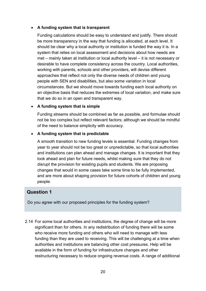#### • **A funding system that is transparent**

Funding calculations should be easy to understand and justify. There should be more transparency in the way that funding is allocated, at each level. It should be clear why a local authority or institution is funded the way it is. In a system that relies on local assessment and decisions about how needs are met – mainly taken at institution or local authority level – it is not necessary or desirable to have complete consistency across the country. Local authorities, working with parents, schools and other providers, will devise different approaches that reflect not only the diverse needs of children and young people with SEN and disabilities, but also some variation in local circumstances. But we should move towards funding each local authority on an objective basis that reduces the extremes of local variation, and make sure that we do so in an open and transparent way.

#### • **A funding system that is simple**

Funding streams should be combined as far as possible, and formulae should not be too complex but reflect relevant factors; although we should be mindful of the need to balance simplicity with accuracy.

#### • **A funding system that is predictable**

A smooth transition to new funding levels is essential. Funding changes from year to year should not be too great or unpredictable, so that local authorities and institutions can plan ahead and manage changes. It is important that they look ahead and plan for future needs, whilst making sure that they do not disrupt the provision for existing pupils and students. We are proposing changes that would in some cases take some time to be fully implemented, and are more about shaping provision for future cohorts of children and young people.

#### **Question 1**

Do you agree with our proposed principles for the funding system?

2.14 For some local authorities and institutions, the degree of change will be more significant than for others. In any redistribution of funding there will be some who receive more funding and others who will need to manage with less funding than they are used to receiving. This will be challenging at a time when authorities and institutions are balancing other cost pressures. Help will be available in the form of funding for infrastructure changes and other restructuring necessary to reduce ongoing revenue costs. A range of additional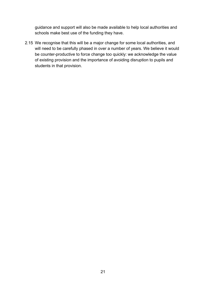guidance and support will also be made available to help local authorities and schools make best use of the funding they have.

2.15 We recognise that this will be a major change for some local authorities, and will need to be carefully phased in over a number of years. We believe it would be counter-productive to force change too quickly: we acknowledge the value of existing provision and the importance of avoiding disruption to pupils and students in that provision.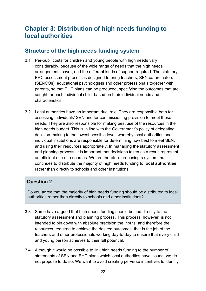## <span id="page-21-0"></span>**Chapter 3: Distribution of high needs funding to local authorities**

## <span id="page-21-1"></span>**Structure of the high needs funding system**

- 3.1 Per-pupil costs for children and young people with high needs vary considerably, because of the wide range of needs that the high needs arrangements cover, and the different kinds of support required. The statutory EHC assessment process is designed to bring teachers, SEN co-ordinators (SENCOs), educational psychologists and other professionals together with parents, so that EHC plans can be produced, specifying the outcomes that are sought for each individual child, based on their individual needs and characteristics.
- 3.2 Local authorities have an important dual role. They are responsible both for assessing individuals' SEN and for commissioning provision to meet those needs. They are also responsible for making best use of the resources in the high needs budget. This is in line with the Government's policy of delegating decision-making to the lowest possible level, whereby local authorities and individual institutions are responsible for determining how best to meet SEN, and using their resources appropriately. In managing the statutory assessment and planning process, it is important that decisions taken as a result represent an efficient use of resources. We are therefore proposing a system that continues to distribute the majority of high needs funding to **local authorities** rather than directly to schools and other institutions.

#### **Question 2**

Do you agree that the majority of high needs funding should be distributed to local authorities rather than directly to schools and other institutions?

- 3.3 Some have argued that high needs funding should be tied directly to the statutory assessment and planning process. This process, however, is not intended to pin down with absolute precision the inputs, and therefore the resources, required to achieve the desired outcomes: that is the job of the teachers and other professionals working day-to-day to ensure that every child and young person achieves to their full potential.
- 3.4 Although it would be possible to link high needs funding to the number of statements of SEN and EHC plans which local authorities have issued, we do not propose to do so. We want to avoid creating perverse incentives to identify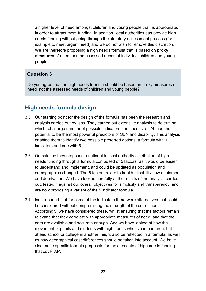a higher level of need amongst children and young people than is appropriate, in order to attract more funding. In addition, local authorities can provide high needs funding without going through the statutory assessment process (for example to meet urgent need) and we do not wish to remove this discretion. We are therefore proposing a high needs formula that is based on **proxy measures** of need, not the assessed needs of individual children and young people.

#### **Question 3**

Do you agree that the high needs formula should be based on proxy measures of need, not the assessed needs of children and young people?

## <span id="page-22-0"></span>**High needs formula design**

- 3.5 Our starting point for the design of the formula has been the research and analysis carried out by Isos. They carried out extensive analysis to determine which, of a large number of possible indicators and shortlist of 24, had the potential to be the most powerful predictors of SEN and disability. This analysis enabled them to identify two possible preferred options: a formula with 9 indicators and one with 5.
- 3.6 On balance they proposed a national to local authority distribution of high needs funding through a formula composed of 5 factors, as it would be easier to understand and implement, and could be updated as population and demographics changed. The 5 factors relate to health, disability, low attainment and deprivation. We have looked carefully at the results of the analysis carried out, tested it against our overall objectives for simplicity and transparency, and are now proposing a variant of the 5 indicator formula.
- 3.7 Isos reported that for some of the indicators there were alternatives that could be considered without compromising the strength of the correlation. Accordingly, we have considered these, whilst ensuring that the factors remain relevant, that they correlate with appropriate measures of need, and that the data are available and accurate enough. And we have looked at how the movement of pupils and students with high needs who live in one area, but attend school or college in another, might also be reflected in a formula, as well as how geographical cost differences should be taken into account. We have also made specific formula proposals for the elements of high needs funding that cover AP.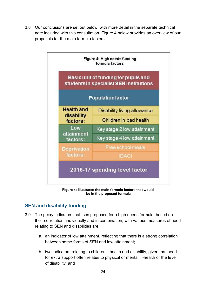3.8 Our conclusions are set out below, with more detail in the separate technical note included with this consultation. Figure 4 below provides an overview of our proposals for the main formula factors.



**Figure 4: Illustrates the main formula factors that would be in the proposed formula**

#### <span id="page-23-0"></span>**SEN and disability funding**

- 3.9 The proxy indicators that Isos proposed for a high needs formula, based on their correlation, individually and in combination, with various measures of need relating to SEN and disabilities are:
	- a. an indicator of low attainment, reflecting that there is a strong correlation between some forms of SEN and low attainment;
	- b. two indicators relating to children's health and disability, given that need for extra support often relates to physical or mental ill-health or the level of disability; and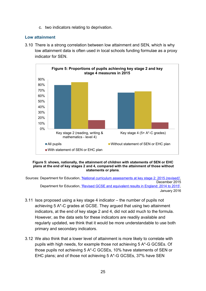c. two indicators relating to deprivation.

#### **Low attainment**

3.10 There is a strong correlation between low attainment and SEN, which is why low attainment data is often used in local schools funding formulae as a proxy indicator for SEN.



#### **Figure 5: shows, nationally, the attainment of children with statements of SEN or EHC plans at the end of key stages 2 and 4, compared with the attainment of those without statements or plans**.

Sources: Department for Education, ['National curriculum assessments at key stage 2: 2015 \(revised\)',](https://www.gov.uk/government/statistics/national-curriculum-assessments-at-key-stage-2-2015-revised) December 2015 Department for Education, ['Revised GCSE and equivalent results in England: 2014 to 2015',](https://www.gov.uk/government/statistics/revised-gcse-and-equivalent-results-in-england-2014-to-2015) January 2016

- 3.11 Isos proposed using a key stage 4 indicator the number of pupils not achieving 5 A\*-C grades at GCSE. They argued that using two attainment indicators, at the end of key stage 2 and 4, did not add much to the formula. However, as the data sets for these indicators are readily available and regularly updated, we think that it would be more understandable to use both primary and secondary indicators.
- 3.12 We also think that a lower level of attainment is more likely to correlate with pupils with high needs, for example those not achieving 5 A\*-G GCSEs. Of those pupils not achieving 5 A\*-C GCSEs, 10% have statements of SEN or EHC plans; and of those not achieving 5 A\*-G GCSEs, 37% have SEN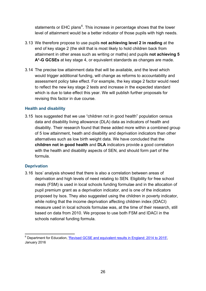statements or EHC plans<sup>[6](#page-14-3)</sup>. This increase in percentage shows that the lower level of attainment would be a better indicator of those pupils with high needs.

- 3.13 We therefore propose to use pupils **not achieving level 2 in reading** at the end of key stage 2 (the skill that is most likely to hold children back from attainment in other areas such as writing or maths) and pupils **not achieving 5**  A<sup>\*-</sup>G GCSEs at key stage 4, or equivalent standards as changes are made.
- 3.14 The precise low attainment data that will be available, and the level which would trigger additional funding, will change as reforms to accountability and assessment policy take effect. For example, the key stage 2 factor would need to reflect the new key stage 2 tests and increase in the expected standard which is due to take effect this year. We will publish further proposals for revising this factor in due course.

#### **Health and disability**

3.15 Isos suggested that we use "children not in good health" population census data and disability living allowance (DLA) data as indicators of health and disability. Their research found that these added more within a combined group of 5 low attainment, heath and disability and deprivation indicators than other alternatives such as low birth weight data. We have concluded that the **children not in good health** and **DLA** indicators provide a good correlation with the health and disability aspects of SEN, and should form part of the formula.

#### **Deprivation**

3.16 Isos' analysis showed that there is also a correlation between areas of deprivation and high levels of need relating to SEN. Eligibility for free school meals (FSM) is used in local schools funding formulae and in the allocation of pupil premium grant as a deprivation indicator, and is one of the indicators proposed by Isos. They also suggested using the children in poverty indicator, while noting that the income deprivation affecting children index (IDACI) measure used in local schools formulae was, at the time of their research, still based on data from 2010. We propose to use both FSM and IDACI in the schools national funding formula.

<span id="page-25-0"></span><sup>6</sup> Department for Education, ['Revised GCSE and equivalent results in England: 2014 to 2015',](https://www.gov.uk/government/statistics/revised-gcse-and-equivalent-results-in-england-2014-to-2015) January 2016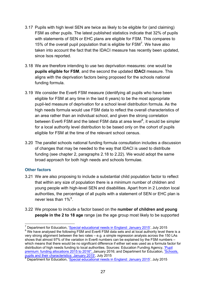- 3.17 Pupils with high level SEN are twice as likely to be eligible for (and claiming) FSM as other pupils. The latest published statistics indicate that 32% of pupils with statements of SEN or EHC plans are eligible for FSM. This compares to 15% of the overall pupil population that is eligible for  $\text{FSM}^7$  $\text{FSM}^7$ . We have also taken into account the fact that the IDACI measure has recently been updated, since Isos reported.
- 3.18 We are therefore intending to use two deprivation measures: one would be **pupils eligible for FSM**, and the second the updated **IDACI** measure. This aligns with the deprivation factors being proposed for the schools national funding formula.
- 3.19 We consider the Ever6 FSM measure (identifying all pupils who have been eligible for FSM at any time in the last 6 years) to be the most appropriate pupil-led measure of deprivation for a school level distribution formula. As the high needs formula would use FSM data to reflect the overall characteristics of an area rather than an individual school, and given the strong correlation between Ever6 FSM and the latest FSM data at area level<sup>[8](#page-26-0)</sup>, it would be simpler for a local authority level distribution to be based only on the cohort of pupils eligible for FSM at the time of the relevant school census.
- 3.20 The parallel schools national funding formula consultation includes a discussion of changes that may be needed to the way that IDACI is used to distribute funding (see chapter 2, paragraphs 2.18 to 2.22). We would adopt the same broad approach for both high needs and schools formulae.

#### **Other factors**

- 3.21 We are also proposing to include a substantial child population factor to reflect that within any size of population there is a minimum number of children and young people with high-level SEN and disabilities. Apart from in 2 London local authorities, the percentage of all pupils with a statement of SEN or EHC plan is never less than  $1\%$ <sup>[9](#page-26-1)</sup>.
- 3.22 We propose to include a factor based on the **number of children and young people in the 2 to 18 age** range (as the age group most likely to be supported

<sup>&</sup>lt;sup>7</sup> Department for Education, '*Special educational needs in England: January 2015'*, July 2015<br><sup>8</sup> We have analysed the following FSM and Ever6 FSM data sets and at local authority level there is a

<span id="page-26-0"></span>very strong alignment between the two rates – e.g. a simple regression analysis across the 150 LAs shows that almost 97% of the variation in Ever6 numbers can be explained by the FSM numbers – which means that there would be no significant difference if either set was used as a formula factor for distribution of high needs funding to local authorities. Sources: Education Funding Agency, ['Pupil](https://www.gov.uk/government/publications/pupil-premium-2015-to-2016-allocations)  premium: funding allocations 2015 to 2016", January 2016; and Department for Education, Schools, pupils and their characteristics: January 2015', July 2015

<span id="page-26-2"></span><span id="page-26-1"></span>Department for Education, ['Special educational needs in England: January 2015'](https://www.gov.uk/government/statistics/special-educational-needs-in-england-january-2015), July 2015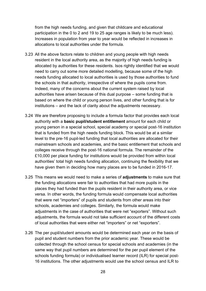from the high needs funding, and given that childcare and educational participation in the 0 to 2 and 19 to 25 age ranges is likely to be much less). Increases in population from year to year would be reflected in increases in allocations to local authorities under the formula.

- 3.23 All the above factors relate to children and young people with high needs resident in the local authority area, as the majority of high needs funding is allocated by authorities for these residents. Isos rightly identified that we would need to carry out some more detailed modelling, because some of the high needs funding allocated to local authorities is used by those authorities to fund the schools in that authority, irrespective of where the pupils come from. Indeed, many of the concerns about the current system raised by local authorities have arisen because of this dual purpose – some funding that is based on where the child or young person lives, and other funding that is for institutions – and the lack of clarity about the adjustments necessary.
- <span id="page-27-0"></span>3.24 We are therefore proposing to include a formula factor that provides each local authority with a **basic pupil/student entitlement** amount for each child or young person in a special school, special academy or special post-16 institution that is funded from the high needs funding block. This would be at a similar level to the pre-16 pupil-led funding that local authorities are allocated for their mainstream schools and academies, and the basic entitlement that schools and colleges receive through the post-16 national formula. The remainder of the £10,000 per place funding for institutions would be provided from within local authorities' total high needs funding allocation, continuing the flexibility that we have given them in deciding how many places are to be funded in 2016-17.
- 3.25 This means we would need to make a series of **adjustments** to make sure that the funding allocations were fair to authorities that had more pupils in the places they had funded than the pupils resident in their authority area, or vice versa. In other words, the funding formula would compensate local authorities that were net "importers" of pupils and students from other areas into their schools, academies and colleges. Similarly, the formula would make adjustments in the case of authorities that were net "exporters". Without such adjustments, the formula would not take sufficient account of the different costs of local authorities that were either net "importers" or net "exporters".
- 3.26 The per pupil/student amounts would be determined each year on the basis of pupil and student numbers from the prior academic year. These would be collected through the school census for special schools and academies (in the same way that pupil numbers are determined for the per pupil element of the schools funding formula) or individualised learner record (ILR) for special post-16 institutions. The other adjustments would use the school census and ILR to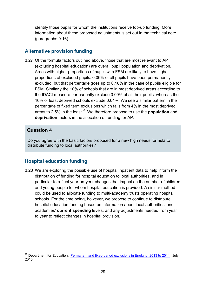identify those pupils for whom the institutions receive top-up funding. More information about these proposed adjustments is set out in the technical note (paragraphs 9-16).

#### <span id="page-28-0"></span>**Alternative provision funding**

3.27 Of the formula factors outlined above, those that are most relevant to AP (excluding hospital education) are overall pupil population and deprivation. Areas with higher proportions of pupils with FSM are likely to have higher proportions of excluded pupils: 0.06% of all pupils have been permanently excluded, but that percentage goes up to 0.18% in the case of pupils eligible for FSM. Similarly the 10% of schools that are in most deprived areas according to the IDACI measure permanently exclude 0.09% of all their pupils, whereas the 10% of least deprived schools exclude 0.04%. We see a similar pattern in the percentage of fixed term exclusions which falls from 4% in the most deprived areas to 2.5% in the least<sup>10</sup>. We therefore propose to use the **population** and **deprivation** factors in the allocation of funding for AP.

#### **Question 4**

Do you agree with the basic factors proposed for a new high needs formula to distribute funding to local authorities?

#### <span id="page-28-1"></span>**Hospital education funding**

3.28 We are exploring the possible use of hospital inpatient data to help inform the distribution of funding for hospital education to local authorities, and in particular to reflect year-on-year changes that impact on the number of children and young people for whom hospital education is provided. A similar method could be used to allocate funding to multi-academy trusts operating hospital schools. For the time being, however, we propose to continue to distribute hospital education funding based on information about local authorities' and academies' **current spending** levels, and any adjustments needed from year to year to reflect changes in hospital provision.

<span id="page-28-2"></span><sup>&</sup>lt;sup>10</sup> Department for Education, ['Permanent and fixed-period exclusions in England: 2013 to 2014',](https://www.gov.uk/government/statistics/permanent-and-fixed-period-exclusions-in-england-2013-to-2014) July 2015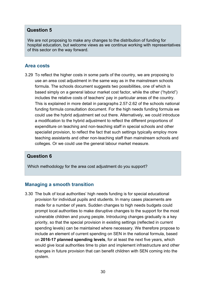#### **Question 5**

We are not proposing to make any changes to the distribution of funding for hospital education, but welcome views as we continue working with representatives of this sector on the way forward.

#### <span id="page-29-0"></span>**Area costs**

3.29 To reflect the higher costs in some parts of the country, we are proposing to use an area cost adjustment in the same way as in the mainstream schools formula. The schools document suggests two possibilities, one of which is based simply on a general labour market cost factor, while the other ("hybrid") includes the relative costs of teachers' pay in particular areas of the country. This is explained in more detail in paragraphs 2.57-2.62 of the schools national funding formula consultation document. For the high needs funding formula we could use the hybrid adjustment set out there. Alternatively, we could introduce a modification to the hybrid adjustment to reflect the different proportions of expenditure on teaching and non-teaching staff in special schools and other specialist provision, to reflect the fact that such settings typically employ more teaching assistants and other non-teaching staff than mainstream schools and colleges. Or we could use the general labour market measure.

#### **Question 6**

Which methodology for the area cost adjustment do you support?

#### <span id="page-29-1"></span>**Managing a smooth transition**

3.30 The bulk of local authorities' high needs funding is for special educational provision for individual pupils and students. In many cases placements are made for a number of years. Sudden changes to high needs budgets could prompt local authorities to make disruptive changes to the support for the most vulnerable children and young people. Introducing changes gradually is a key priority, so that the special provision in existing settings (reflected in current spending levels) can be maintained where necessary. We therefore propose to include an element of current spending on SEN in the national formula, based on **2016-17 planned spending levels**, for at least the next five years, which would give local authorities time to plan and implement infrastructure and other changes in future provision that can benefit children with SEN coming into the system.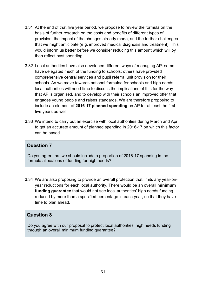- 3.31 At the end of that five year period, we propose to review the formula on the basis of further research on the costs and benefits of different types of provision, the impact of the changes already made, and the further challenges that we might anticipate (e.g. improved medical diagnosis and treatment). This would inform us better before we consider reducing this amount which will by then reflect past spending.
- 3.32 Local authorities have also developed different ways of managing AP: some have delegated much of the funding to schools; others have provided comprehensive central services and pupil referral unit provision for their schools. As we move towards national formulae for schools and high needs, local authorities will need time to discuss the implications of this for the way that AP is organised, and to develop with their schools an improved offer that engages young people and raises standards. We are therefore proposing to include an element of **2016-17 planned spending** on AP for at least the first five years as well.
- 3.33 We intend to carry out an exercise with local authorities during March and April to get an accurate amount of planned spending in 2016-17 on which this factor can be based.

#### **Question 7**

Do you agree that we should include a proportion of 2016-17 spending in the formula allocations of funding for high needs?

3.34 We are also proposing to provide an overall protection that limits any year-onyear reductions for each local authority. There would be an overall **minimum funding guarantee** that would not see local authorities' high needs funding reduced by more than a specified percentage in each year, so that they have time to plan ahead.

#### **Question 8**

Do you agree with our proposal to protect local authorities' high needs funding through an overall minimum funding guarantee?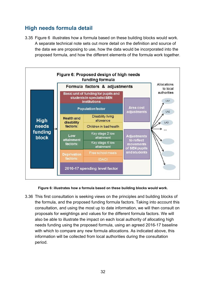## <span id="page-31-0"></span>**High needs formula detail**

3.35 Figure 6 illustrates how a formula based on these building blocks would work. A separate technical note sets out more detail on the definition and source of the data we are proposing to use, how the data would be incorporated into the proposed formula, and how the different elements of the formula work together.



**Figure 6: illustrates how a formula based on these building blocks would work.**

3.36 This first consultation is seeking views on the principles and building blocks of the formula, and the proposed funding formula factors. Taking into account this consultation, and using the most up to date information, we will then consult on proposals for weightings and values for the different formula factors. We will also be able to illustrate the impact on each local authority of allocating high needs funding using the proposed formula, using an agreed 2016-17 baseline with which to compare any new formula allocations. As indicated above, this information will be collected from local authorities during the consultation period.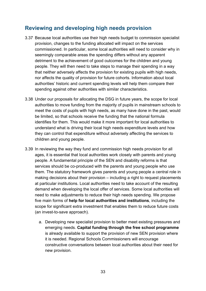## <span id="page-32-0"></span>**Reviewing and developing high needs provision**

- 3.37 Because local authorities use their high needs budget to commission specialist provision, changes to the funding allocated will impact on the services commissioned. In particular, some local authorities will need to consider why in seemingly comparable areas the spending differs without any apparent detriment to the achievement of good outcomes for the children and young people. They will then need to take steps to manage their spending in a way that neither adversely affects the provision for existing pupils with high needs, nor affects the quality of provision for future cohorts. Information about local authorities' historic and current spending levels will help them compare their spending against other authorities with similar characteristics.
- 3.38 Under our proposals for allocating the DSG in future years, the scope for local authorities to move funding from the majority of pupils in mainstream schools to meet the costs of pupils with high needs, as many have done in the past, would be limited, so that schools receive the funding that the national formula identifies for them. This would make it more important for local authorities to understand what is driving their local high needs expenditure levels and how they can control that expenditure without adversely affecting the services to children and young people.
- <span id="page-32-1"></span>3.39 In reviewing the way they fund and commission high needs provision for all ages, it is essential that local authorities work closely with parents and young people. A fundamental principle of the SEN and disability reforms is that services should be co-produced with the parents and young people who use them. The statutory framework gives parents and young people a central role in making decisions about their provision – including a right to request placements at particular institutions. Local authorities need to take account of the resulting demand when developing the local offer of services. Some local authorities will need to make adjustments to reduce their high needs spending. We propose five main forms of **help for local authorities and institutions**, including the scope for significant extra investment that enables them to reduce future costs (an invest-to-save approach).
	- a. Developing new specialist provision to better meet existing pressures and emerging needs. **Capital funding through the free school programme** is already available to support the provision of new SEN provision where it is needed. Regional Schools Commissioners will encourage constructive conversations between local authorities about their need for new provision.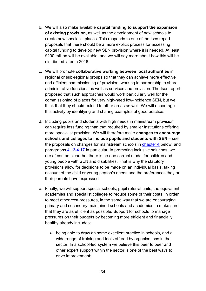- b. We will also make available **capital funding to support the expansion of existing provision,** as well as the development of new schools to create new specialist places. This responds to one of the Isos report proposals that there should be a more explicit process for accessing capital funding to develop new SEN provision where it is needed. At least £200 million will be available, and we will say more about how this will be distributed later in 2016.
- <span id="page-33-0"></span>c. We will promote **collaborative working between local authorities** in regional or sub-regional groups so that they can achieve more effective and efficient commissioning of provision, working in partnership to share administrative functions as well as services and provision. The Isos report proposed that such approaches would work particularly well for the commissioning of places for very high-need low-incidence SEN, but we think that they should extend to other areas as well. We will encourage this activity by identifying and sharing examples of good practice.
- d. Including pupils and students with high needs in mainstream provision can require less funding than that required by smaller institutions offering more specialist provision. We will therefore make **changes to encourage schools and colleges to include pupils and students with SEN** – see the proposals on changes for mainstream schools in [chapter 4](#page-35-0) below, and paragraphs [4.13-4.17](#page-38-0) in particular. In promoting inclusive solutions, we are of course clear that there is no one correct model for children and young people with SEN and disabilities. That is why the statutory provisions allow for decisions to be made on an individual basis, taking account of the child or young person's needs and the preferences they or their parents have expressed.
- e. Finally, we will support special schools, pupil referral units, the equivalent academies and specialist colleges to reduce some of their costs, in order to meet other cost pressures, in the same way that we are encouraging primary and secondary maintained schools and academies to make sure that they are as efficient as possible. Support for schools to manage pressures on their budgets by becoming more efficient and financially healthy already includes:
	- being able to draw on some excellent practice in schools, and a wide range of training and tools offered by organisations in the sector. In a school-led system we believe this peer to peer and other expert support within the sector is one of the best ways to drive improvement;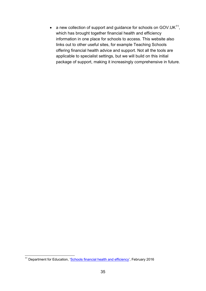• a new collection of support and guidance for schools on GOV.UK $^{11}$ , which has brought together financial health and efficiency information in one place for schools to access. This website also links out to other useful sites, for example Teaching Schools offering financial health advice and support. Not all the tools are applicable to specialist settings, but we will build on this initial package of support, making it increasingly comprehensive in future.

<span id="page-34-0"></span><sup>&</sup>lt;sup>11</sup> Department for Education, ['Schools financial health and efficiency',](https://www.gov.uk/government/collections/schools-financial-health-and-efficiency) February 2016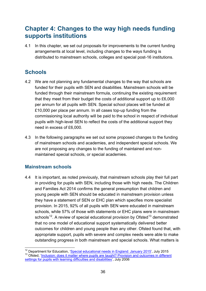## <span id="page-35-0"></span>**Chapter 4: Changes to the way high needs funding supports institutions**

4.1 In this chapter, we set out proposals for improvements to the current funding arrangements at local level, including changes to the ways funding is distributed to mainstream schools, colleges and special post-16 institutions.

## <span id="page-35-1"></span>**Schools**

- 4.2 We are not planning any fundamental changes to the way that schools are funded for their pupils with SEN and disabilities. Mainstream schools will be funded through their mainstream formula, continuing the existing requirement that they meet from their budget the costs of additional support up to £6,000 per annum for all pupils with SEN. Special school places will be funded at £10,000 per place per annum. In all cases top-up funding from the commissioning local authority will be paid to the school in respect of individual pupils with high-level SEN to reflect the costs of the additional support they need in excess of £6,000.
- 4.3 In the following paragraphs we set out some proposed changes to the funding of mainstream schools and academies, and independent special schools. We are not proposing any changes to the funding of maintained and nonmaintained special schools, or special academies.

#### <span id="page-35-2"></span>**Mainstream schools**

4.4 It is important, as noted previously, that mainstream schools play their full part in providing for pupils with SEN, including those with high needs. The Children and Families Act 2014 confirms the general presumption that children and young people with SEN should be educated in mainstream provision unless they have a statement of SEN or EHC plan which specifies more specialist provision. In 2015, 92% of all pupils with SEN were educated in mainstream schools, while 57% of those with statements or EHC plans were in mainstream schools<sup>[12](#page-34-0)</sup>. A review of special educational provision by Ofsted<sup>[13](#page-35-3)</sup> demonstrated that no one model of educational support systematically delivered better outcomes for children and young people than any other. Ofsted found that, with appropriate support, pupils with severe and complex needs were able to make outstanding progress in both mainstream and special schools. What matters is

<span id="page-35-4"></span><span id="page-35-3"></span><sup>&</sup>lt;sup>12</sup> Department for Education, '<u>Special educational needs in England: January 2015</u>', July 2015<br><sup>13</sup> Ofsted, '<u>Inclusion: does it matter where pupils are taught? Provision and outcomes in different</u> [settings for pupils with learning difficulties and disabilities'](http://webarchive.nationalarchives.gov.uk/20141124154759/http:/www.ofsted.gov.uk/resources/inclusion-does-it-matter-where-pupils-are-taught), July 2006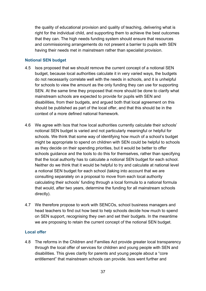the quality of educational provision and quality of teaching, delivering what is right for the individual child, and supporting them to achieve the best outcomes that they can. The high needs funding system should ensure that resources and commissioning arrangements do not present a barrier to pupils with SEN having their needs met in mainstream rather than specialist provision.

#### **Notional SEN budget**

- <span id="page-36-1"></span>4.5 Isos proposed that we should remove the current concept of a notional SEN budget, because local authorities calculate it in very varied ways, the budgets do not necessarily correlate well with the needs in schools, and it is unhelpful for schools to view the amount as the only funding they can use for supporting SEN. At the same time they proposed that more should be done to clarify what mainstream schools are expected to provide for pupils with SEN and disabilities, from their budgets, and argued both that local agreement on this should be published as part of the local offer, and that this should be in the context of a more defined national framework.
- 4.6 We agree with Isos that how local authorities currently calculate their schools' notional SEN budget is varied and not particularly meaningful or helpful for schools. We think that some way of identifying how much of a school's budget might be appropriate to spend on children with SEN could be helpful to schools as they decide on their spending priorities, but it would be better to offer schools guidance and the tools to do this for themselves, rather than specifying that the local authority has to calculate a notional SEN budget for each school. Neither do we think that it would be helpful to try and calculate at national level a notional SEN budget for each school (taking into account that we are consulting separately on a proposal to move from each local authority calculating their schools' funding through a local formula to a national formula that would, after two years, determine the funding for all mainstream schools directly).
- 4.7 We therefore propose to work with SENCOs, school business managers and head teachers to find out how best to help schools decide how much to spend on SEN support, recognising they own and set their budgets. In the meantime we are proposing to retain the current concept of the notional SEN budget.

#### **Local offer**

<span id="page-36-0"></span>4.8 The reforms in the Children and Families Act provide greater local transparency through the local offer of services for children and young people with SEN and disabilities. This gives clarity for parents and young people about a "core entitlement" that mainstream schools can provide. Isos went further and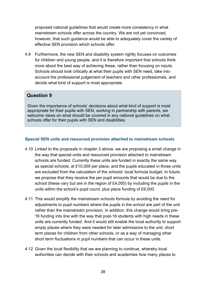proposed national guidelines that would create more consistency in what mainstream schools offer across the country. We are not yet convinced, however, that such guidance would be able to adequately cover the variety of effective SEN provision which schools offer.

4.9 Furthermore, the new SEN and disability system rightly focuses on outcomes for children and young people, and it is therefore important that schools think more about the best way of achieving these, rather than focusing on inputs. Schools should look critically at what their pupils with SEN need, take into account the professional judgement of teachers and other professionals, and decide what kind of support is most appropriate.

#### **Question 9**

Given the importance of schools' decisions about what kind of support is most appropriate for their pupils with SEN, working in partnership with parents, we welcome views on what should be covered in any national guidelines on what schools offer for their pupils with SEN and disabilities.

#### **Special SEN units and resourced provision attached to mainstream schools**

- 4.10 Linked to the proposals in chapter 3 above, we are proposing a small change in the way that special units and resourced provision attached to mainstream schools are funded. Currently these units are funded in exactly the same way as special schools, at £10,000 per place, and the pupils educated in those units are excluded from the calculation of the schools' local formula budget. In future, we propose that they receive the per pupil amounts that would be due to the school (these vary but are in the region of £4,000) by including the pupils in the units within the school's pupil count, plus place funding of £6,000.
- 4.11 This would simplify the mainstream schools formula by avoiding the need for adjustments to pupil numbers where the pupils in the school are part of the unit rather than the mainstream provision. In addition, this change would bring pre-16 funding into line with the way that post-16 students with high needs in these units are currently funded. And it would still enable the local authority to support empty places where they were needed for later admissions to the unit, short term places for children from other schools, or as a way of managing other short term fluctuations in pupil numbers that can occur in these units.
- 4.12 Given the local flexibility that we are planning to continue, whereby local authorities can decide with their schools and academies how many places to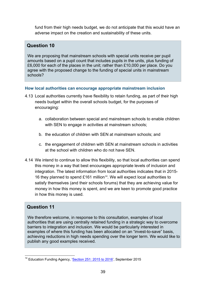fund from their high needs budget, we do not anticipate that this would have an adverse impact on the creation and sustainability of these units.

#### **Question 10**

We are proposing that mainstream schools with special units receive per pupil amounts based on a pupil count that includes pupils in the units, plus funding of £6,000 for each of the places in the unit; rather than £10,000 per place. Do you agree with the proposed change to the funding of special units in mainstream schools?

#### **How local authorities can encourage appropriate mainstream inclusion**

- <span id="page-38-0"></span>4.13 Local authorities currently have flexibility to retain funding, as part of their high needs budget within the overall schools budget, for the purposes of encouraging:
	- a. collaboration between special and mainstream schools to enable children with SEN to engage in activities at mainstream schools;
	- b. the education of children with SEN at mainstream schools; and
	- c. the engagement of children with SEN at mainstream schools in activities at the school with children who do not have SEN.
- 4.14 We intend to continue to allow this flexibility, so that local authorities can spend this money in a way that best encourages appropriate levels of inclusion and integration. The latest information from local authorities indicates that in 2015- 16 they planned to spend £161 million<sup>[14](#page-35-4)</sup>. We will expect local authorities to satisfy themselves (and their schools forums) that they are achieving value for money in how this money is spent, and we are keen to promote good practice in how this money is used.

#### **Question 11**

We therefore welcome, in response to this consultation, examples of local authorities that are using centrally retained funding in a strategic way to overcome barriers to integration and inclusion. We would be particularly interested in examples of where this funding has been allocated on an "invest-to-save" basis, achieving reductions in high needs spending over the longer term. We would like to publish any good examples received.

<span id="page-38-1"></span><sup>&</sup>lt;sup>14</sup> Education Funding Agency, ['Section 251: 2015 to 2016'](https://www.gov.uk/guidance/section-251-2015-to-2016), September 2015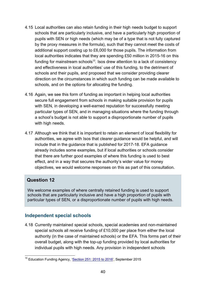- <span id="page-39-3"></span>4.15 Local authorities can also retain funding in their high needs budget to support schools that are particularly inclusive, and have a particularly high proportion of pupils with SEN or high needs (which may be of a type that is not fully captured by the proxy measures in the formula), such that they cannot meet the costs of additional support costing up to £6,000 for those pupils. The information from local authorities indicates that they are spending £50 million in 2015-16 on this funding for mainstream schools $15$ . Isos drew attention to a lack of consistency and effectiveness in local authorities' use of this funding, to the detriment of schools and their pupils, and proposed that we consider providing clearer direction on the circumstances in which such funding can be made available to schools, and on the options for allocating the funding.
- 4.16 Again, we see this form of funding as important in helping local authorities secure full engagement from schools in making suitable provision for pupils with SEN, in developing a well-earned reputation for successfully meeting particular types of SEN, and in managing situations where the funding through a school's budget is not able to support a disproportionate number of pupils with high needs.
- 4.17 Although we think that it is important to retain an element of local flexibility for authorities, we agree with Isos that clearer guidance would be helpful, and will include that in the guidance that is published for 2017-18. EFA guidance already includes some examples, but if local authorities or schools consider that there are further good examples of where this funding is used to best effect, and in a way that secures the authority's wider value for money objectives, we would welcome responses on this as part of this consultation.

#### **Question 12**

We welcome examples of where centrally retained funding is used to support schools that are particularly inclusive and have a high proportion of pupils with particular types of SEN, or a disproportionate number of pupils with high needs.

#### <span id="page-39-0"></span>**Independent special schools**

<span id="page-39-2"></span>4.18 Currently maintained special schools, special academies and non-maintained special schools all receive funding of £10,000 per place from either the local authority (in the case of maintained schools) or the EFA. This forms part of their overall budget, along with the top-up funding provided by local authorities for individual pupils with high needs. Any provision in independent schools

<span id="page-39-1"></span><sup>&</sup>lt;sup>15</sup> Education Funding Agency, ['Section 251: 2015 to 2016'](https://www.gov.uk/guidance/section-251-2015-to-2016), September 2015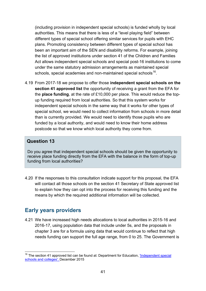(including provision in independent special schools) is funded wholly by local authorities. This means that there is less of a "level playing field" between different types of special school offering similar services for pupils with EHC plans. Promoting consistency between different types of special school has been an important aim of the SEN and disability reforms. For example, joining the list of approved institutions under section 41 of the Children and Families Act allows independent special schools and special post-16 institutions to come under the same statutory admission arrangements as maintained special schools, special academies and non-maintained special schools<sup>[16](#page-39-1)</sup>.

4.19 From 2017-18 we propose to offer those **independent special schools on the section 41 approved list** the opportunity of receiving a grant from the EFA for the **place funding**, at the rate of £10,000 per place. This would reduce the topup funding required from local authorities. So that this system works for independent special schools in the same way that it works for other types of special school, we would need to collect information from schools in more detail than is currently provided. We would need to identify those pupils who are funded by a local authority, and would need to know their home address postcode so that we know which local authority they come from.

#### **Question 13**

Do you agree that independent special schools should be given the opportunity to receive place funding directly from the EFA with the balance in the form of top-up funding from local authorities?

4.20 If the responses to this consultation indicate support for this proposal, the EFA will contact all those schools on the section 41 Secretary of State approved list to explain how they can opt into the process for receiving this funding and the means by which the required additional information will be collected.

## <span id="page-40-0"></span>**Early years providers**

<span id="page-40-2"></span>4.21 We have increased high needs allocations to local authorities in 2015-16 and 2016-17, using population data that include under 5s, and the proposals in chapter 3 are for a formula using data that would continue to reflect that high needs funding can support the full age range, from 0 to 25. The Government is

<span id="page-40-1"></span><sup>&</sup>lt;sup>16</sup> The section 41 approved list can be found at: Department for Education, *'Independent special* [schools and colleges',](https://www.gov.uk/government/publications/independent-special-schools-and-colleges) December 2015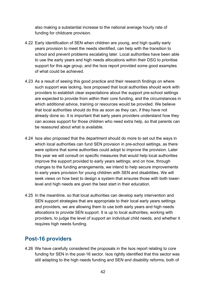also making a substantial increase to the national average hourly rate of funding for childcare provision.

- 4.22 Early identification of SEN when children are young, and high quality early years provision to meet the needs identified, can help with the transition to school and prevent problems escalating later. Local authorities have been able to use the early years and high needs allocations within their DSG to prioritise support for this age group, and the Isos report provided some good examples of what could be achieved.
- 4.23 As a result of seeing this good practice and their research findings on where such support was lacking, Isos proposed that local authorities should work with providers to establish clear expectations about the support pre-school settings are expected to provide from within their core funding, and the circumstances in which additional advice, training or resources would be provided. We believe that local authorities should do this as soon as they can, if they have not already done so. It is important that early years providers understand how they can access support for those children who need extra help, so that parents can be reassured about what is available.
- 4.24 Isos also proposed that the department should do more to set out the ways in which local authorities can fund SEN provision in pre-school settings, as there were options that some authorities could adopt to improve the provision. Later this year we will consult on specific measures that would help local authorities improve the support provided to early years settings; and on how, through changes to the funding arrangements, we intend to help secure improvements to early years provision for young children with SEN and disabilities. We will seek views on how best to design a system that ensures those with both lowerlevel and high needs are given the best start in their education.
- 4.25 In the meantime, so that local authorities can develop early intervention and SEN support strategies that are appropriate to their local early years settings and providers, we are allowing them to use both early years and high needs allocations to provide SEN support. It is up to local authorities, working with providers, to judge the level of support an individual child needs, and whether it requires high needs funding.

## <span id="page-41-0"></span>**Post-16 providers**

<span id="page-41-1"></span>4.26 We have carefully considered the proposals in the Isos report relating to core funding for SEN in the post-16 sector. Isos rightly identified that this sector was still adapting to the high needs funding and SEN and disability reforms, both of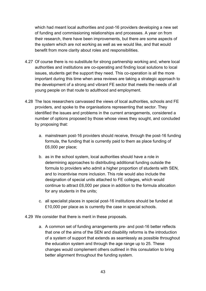which had meant local authorities and post-16 providers developing a new set of funding and commissioning relationships and processes. A year on from their research, there have been improvements, but there are some aspects of the system which are not working as well as we would like, and that would benefit from more clarity about roles and responsibilities.

- 4.27 Of course there is no substitute for strong partnership working and, where local authorities and institutions are co-operating and finding local solutions to local issues, students get the support they need. This co-operation is all the more important during this time when area reviews are taking a strategic approach to the development of a strong and vibrant FE sector that meets the needs of all young people on that route to adulthood and employment.
- 4.28 The Isos researchers canvassed the views of local authorities, schools and FE providers, and spoke to the organisations representing that sector. They identified the issues and problems in the current arrangements, considered a number of options proposed by those whose views they sought, and concluded by proposing that:
	- a. mainstream post-16 providers should receive, through the post-16 funding formula, the funding that is currently paid to them as place funding of £6,000 per place;
	- b. as in the school system, local authorities should have a role in determining approaches to distributing additional funding outside the formula to providers who admit a higher proportion of students with SEN, and to incentivise more inclusion. This role would also include the designation of special units attached to FE colleges, which would continue to attract £6,000 per place in addition to the formula allocation for any students in the units;
	- c. all specialist places in special post-16 institutions should be funded at £10,000 per place as is currently the case in special schools.
- 4.29 We consider that there is merit in these proposals.
	- a. A common set of funding arrangements pre- and post-16 better reflects that one of the aims of the SEN and disability reforms is the introduction of a system of support that extends as seamlessly as possible throughout the education system and through the age range up to 25. These changes would complement others outlined in this consulation to bring better alignment throughout the funding system.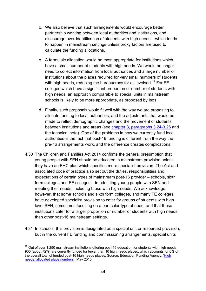- b. We also believe that such arrangements would encourage better partnership working between local authorities and institutions, and discourage over-identification of students with high needs – which tends to happen in mainstream settings unless proxy factors are used to calculate the funding allocations.
- c. A formulaic allocation would be most appropriate for institutions which have a small number of students with high needs. We would no longer need to collect information from local authorities and a large number of institutions about the places required for very small numbers of students with high needs, reducing the bureaucracy for all involved.<sup>[17](#page-40-1)</sup> For FE colleges which have a significant proportion or number of students with high needs, an approach comparable to special units in mainstream schools is likely to be more appropriate, as proposed by Isos.
- d. Finally, such proposals would fit well with the way we are proposing to allocate funding to local authorities, and the adjustments that would be made to reflect demographic changes and the movement of students between institutions and areas (see [chapter 3, paragraphs 3.24-3.26](#page-27-0) and the technical note). One of the problems in how we currently fund local authorities is the fact that post-16 funding is different from the way the pre-16 arrangements work, and the difference creates complications.
- 4.30 The Children and Families Act 2014 confirms the general presumption that young people with SEN should be educated in mainstream provision unless they have an EHC plan which specifies more specialist provision. The Act and associated code of practice also set out the duties, responsibilities and expectations of certain types of mainstream post-16 provider – schools, sixth form colleges and FE colleges – in admitting young people with SEN and meeting their needs, including those with high needs. We acknowledge, however, that some schools and sixth form colleges, and many FE colleges, have developed specialist provision to cater for groups of students with high level SEN, sometimes focusing on a particular type of need, and that these institutions cater for a larger proportion or number of students with high needs than other post-16 mainstream settings.
- <span id="page-43-1"></span>4.31 In schools, this provision is designated as a special unit or resourced provision, but in the current FE funding and commissioning arrangements, special units

<span id="page-43-0"></span><sup>&</sup>lt;sup>17</sup> Out of over 1,250 mainstream institutions offering post-16 education for students with high needs, 900 (about 72%) are currently funded for fewer than 10 high needs places, which accounts for 6% of the overall total of funded post-16 high needs places. Source: Education Funding Agency, ['High](https://www.gov.uk/government/publications/post-16-high-needs-allocated-place-numbers)  [needs: allocated place numbers'](https://www.gov.uk/government/publications/post-16-high-needs-allocated-place-numbers), May 2015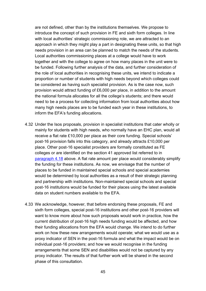are not defined, other than by the institutions themselves. We propose to introduce the concept of such provision in FE and sixth form colleges. In line with local authorities' strategic commissioning role, we are attracted to an approach in which they might play a part in designating these units, so that high needs provision in an area can be planned to match the needs of the students. Local authorities commissioning places at a college would have to work together and with the college to agree on how many places in the unit were to be funded. Following further analysis of the data, and further consideration of the role of local authorities in recognising these units, we intend to indicate a proportion or number of students with high needs beyond which colleges could be considered as having such specialist provision. As is the case now, such provision would attract funding of £6,000 per place, in addition to the amount the national formula allocates for all the college's students; and there would need to be a process for collecting information from local authorities about how many high needs places are to be funded each year in these institutions, to inform the EFA's funding allocations.

- 4.32 Under the Isos proposals, provision in specialist institutions that cater wholly or mainly for students with high needs, who normally have an EHC plan, would all receive a flat rate £10,000 per place as their core funding. Special schools' post-16 provision falls into this category, and already attracts £10,000 per place. Other post-16 specialist providers are formally constituted as FE colleges or are identified on the section 41 approved list referred to in [paragraph 4.18](#page-39-2) above. A flat rate amount per place would considerably simplify the funding for these institutions. As now, we envisage that the number of places to be funded in maintained special schools and special academies would be determined by local authorities as a result of their strategic planning and partnership with institutions. Non-maintained special schools and special post-16 institutions would be funded for their places using the latest available data on student numbers available to the EFA.
- 4.33 We acknowledge, however, that before endorsing these proposals, FE and sixth form colleges, special post-16 institutions and other post-16 providers will want to know more about how such proposals would work in practice, how the current distribution of post-16 high needs funding would be affected, and how their funding allocations from the EFA would change. We intend to do further work on how these new arrangements would operate; what we would use as a proxy indicator of SEN in the post-16 formula and what the impact would be on individual post-16 providers; and how we would recognise in the funding arrangements that some SEN and disabilities would not be captured by any proxy indicator. The results of that further work will be shared in the second phase of this consultation.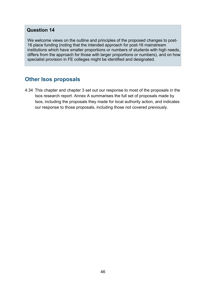#### **Question 14**

We welcome views on the outline and principles of the proposed changes to post-16 place funding (noting that the intended approach for post-16 mainstream institutions which have smaller proportions or numbers of students with high needs, differs from the approach for those with larger proportions or numbers), and on how specialist provision in FE colleges might be identified and designated.

## **Other Isos proposals**

4.34 This chapter and chapter 3 set out our response to most of the proposals in the Isos research report. Annex A summarises the full set of proposals made by Isos, including the proposals they made for local authority action, and indicates our response to those proposals, including those not covered previously.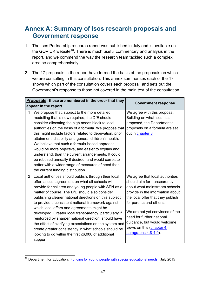## <span id="page-46-0"></span>**Annex A: Summary of Isos research proposals and Government response**

- 1. The Isos Partnership research report was published in July and is available on the GOV. UK website<sup>[18](#page-43-0)</sup>. There is much useful commentary and analysis in the report, and we commend the way the research team tackled such a complex area so comprehensively.
- 2. The 17 proposals in the report have formed the basis of the proposals on which we are consulting in this consultation. This annex summarises each of the 17, shows which part of the consultation covers each proposal, and sets out the Government's response to those not covered in the main text of the consultation.

| Proposals: these are numbered in the order that they<br>appear in the report                                                                                                                                                                                                                                                                                                                                                                                                                                                                                                                                                                                                                                 | <b>Government response</b>                                                                                                                                                                                                                                                                                                                              |
|--------------------------------------------------------------------------------------------------------------------------------------------------------------------------------------------------------------------------------------------------------------------------------------------------------------------------------------------------------------------------------------------------------------------------------------------------------------------------------------------------------------------------------------------------------------------------------------------------------------------------------------------------------------------------------------------------------------|---------------------------------------------------------------------------------------------------------------------------------------------------------------------------------------------------------------------------------------------------------------------------------------------------------------------------------------------------------|
| $\mathbf{1}$<br>We propose that, subject to the more detailed<br>modelling that is now required, the DfE should<br>consider allocating the high needs block to local<br>authorities on the basis of a formula. We propose that<br>this might include factors related to deprivation, prior<br>attainment, disability and general children's health.<br>We believe that such a formula-based approach<br>would be more objective, and easier to explain and<br>understand, than the current arrangements. It could<br>be rebased annually if desired, and would correlate<br>better with a wider range of measures of need than<br>the current funding distribution.                                          | We agree with this proposal.<br>Building on what Isos has<br>proposed, the Department's<br>proposals on a formula are set<br>out in chapter 3.                                                                                                                                                                                                          |
| Local authorities should publish, through their local<br>$\overline{2}$<br>offer, a local agreement on what all schools will<br>provide for children and young people with SEN as a<br>matter of course. The DfE should also consider<br>publishing clearer national directions on this subject<br>to provide a consistent national framework against<br>which local offers and agreements might be<br>developed. Greater local transparency, particularly if<br>reinforced by sharper national direction, should have<br>the effect of clarifying expectations on the system and<br>create greater consistency in what schools should be<br>looking to do within the first £6,000 of additional<br>support. | We agree that local authorities<br>should aim for transparency<br>about what mainstream schools<br>provide in the information about<br>the local offer that they publish<br>for parents and others.<br>We are not yet convinced of the<br>need for further national<br>guidance, but would welcome<br>views on this (chapter 4,<br>paragraphs 4.8-4.9). |

<sup>&</sup>lt;sup>18</sup> Department for Education, ['Funding for young people with](https://www.gov.uk/government/publications/funding-for-young-people-with-special-educational-needs) special educational needs', July 2015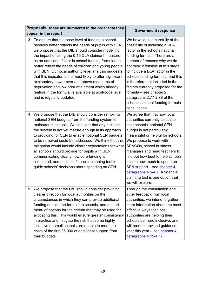| Proposals: these are numbered in the order that they<br>appear in the report                                                                                                                                                                                                                                                                                                                                                                                                                                                                                                                                                                                       | <b>Government response</b>                                                                                                                                                                                                                                                                                                                                                                                                                                                   |
|--------------------------------------------------------------------------------------------------------------------------------------------------------------------------------------------------------------------------------------------------------------------------------------------------------------------------------------------------------------------------------------------------------------------------------------------------------------------------------------------------------------------------------------------------------------------------------------------------------------------------------------------------------------------|------------------------------------------------------------------------------------------------------------------------------------------------------------------------------------------------------------------------------------------------------------------------------------------------------------------------------------------------------------------------------------------------------------------------------------------------------------------------------|
| 3<br>To ensure that the base level of funding a school<br>receives better reflects the needs of pupils with SEN,<br>we propose that the DfE should consider modelling<br>the impact of using the 0-15 DLA claimant measure<br>as an additional factor in school funding formulae to<br>better reflect the needs of children and young people<br>with SEN. Our local authority level analysis suggests<br>that this indicator is the most likely to offer significant<br>explanatory power over and above measures of<br>deprivation and low prior attainment which already<br>feature in the formula, is available at post-code level<br>and is regularly updated. | We have looked carefully at the<br>possibility of including a DLA<br>factor in the schools national<br>funding formula. There are a<br>number of reasons why we do<br>not think it feasible at this stage<br>to include a DLA factor in the<br>schools funding formula, and this<br>is therefore not included in the<br>factors currently proposed for the<br>formula $-$ see chapter 2,<br>paragraphs 2.77-2.78 of the<br>schools national funding formula<br>consultation. |
| We propose that the DfE should consider removing<br>4<br>notional SEN budgets from the funding system for<br>mainstream schools. We consider that any risk that<br>the system is not yet mature enough in its approach<br>to providing for SEN to enable notional SEN budgets<br>to be removed could be addressed. We think that this<br>mitigation would include clearer expectations for what<br>all schools should provide for pupils with SEN,<br>communicating clearly how core funding is<br>calculated, and a simple financial planning tool to<br>guide schools' decisions about spending on SEN.                                                          | We agree that that how local<br>authorities currently calculate<br>their schools' notional SEN<br>budget is not particularly<br>meaningful or helpful for schools.<br>We propose to work with<br>SENCOs, school business<br>managers and head teachers to<br>find out how best to help schools<br>decide how much to spend on<br>SEN support – see chapter 4,<br>paragraphs 4.5-4.7. A financial<br>planning tool is one option that<br>we will explore.                     |
| 5<br>We propose that the DfE should consider providing<br>clearer direction for local authorities on the<br>circumstances in which they can provide additional<br>funding outside the formula to schools, and a short<br>menu of options for the criteria that may be used for<br>allocating this. This would ensure greater consistency<br>in practice and mitigate the risk that some highly<br>inclusive or small schools are unable to meet the<br>costs of the first £6,000 of additional support from<br>their budgets.                                                                                                                                      | Through the consultation and<br>other feedback from local<br>authorities, we intend to gather<br>more information about the most<br>effective ways that local<br>authorities are helping their<br>schools be more inclusive, and<br>will produce revised guidance<br>later this year – see chapter 4,<br>paragraphs 4.15-4.17.                                                                                                                                               |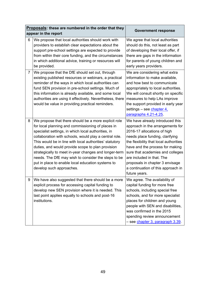|                | Proposals: these are numbered in the order that they<br>appear in the report                                                                                                                                                                                                                                                                                                                                                                                                                                                                | <b>Government response</b>                                                                                                                                                                                                                                                                                                                                                    |
|----------------|---------------------------------------------------------------------------------------------------------------------------------------------------------------------------------------------------------------------------------------------------------------------------------------------------------------------------------------------------------------------------------------------------------------------------------------------------------------------------------------------------------------------------------------------|-------------------------------------------------------------------------------------------------------------------------------------------------------------------------------------------------------------------------------------------------------------------------------------------------------------------------------------------------------------------------------|
| 6              | We propose that local authorities should work with<br>providers to establish clear expectations about the<br>support pre-school settings are expected to provide<br>from within their core funding, and the circumstances<br>in which additional advice, training or resources will<br>be provided.                                                                                                                                                                                                                                         | We agree that local authorities<br>should do this, not least as part<br>of developing their local offer, if<br>there are gaps in the information<br>for parents of young children and<br>early years providers.                                                                                                                                                               |
| $\overline{7}$ | We propose that the DfE should set out, through<br>existing published resources or webinars, a practical<br>reminder of the ways in which local authorities can<br>fund SEN provision in pre-school settings. Much of<br>this information is already available, and some local<br>authorities are using it effectively. Nevertheless, there<br>would be value in providing practical reminders.                                                                                                                                             | We are considering what extra<br>information to make available,<br>and how best to communicate<br>appropriately to local authorities.<br>We will consult shortly on specific<br>measures to help LAs improve<br>the support provided in early year<br>settings - see chapter 4.<br>paragraphs 4.21-4.25                                                                       |
| 8              | We propose that there should be a more explicit role<br>for local planning and commissioning of places in<br>specialist settings, in which local authorities, in<br>collaboration with schools, would play a central role.<br>This would be in line with local authorities' statutory<br>duties, and would provide scope to plan provision<br>strategically to meet in-year changes and longer-term<br>needs. The DfE may wish to consider the steps to be<br>put in place to enable local education systems to<br>develop such approaches. | We have already introduced this<br>approach in the arrangements for<br>2016-17 allocations of high<br>needs place funding, clarifying<br>the flexibility that local authorities<br>have and the process for making<br>sure that academies and colleges<br>are included in that. The<br>proposals in chapter 3 envisage<br>a continuation of this approach in<br>future years. |
| 9              | We have also suggested that there should be a more<br>explicit process for accessing capital funding to<br>develop new SEN provision where it is needed. This<br>last point applies equally to schools and post-16<br>institutions.                                                                                                                                                                                                                                                                                                         | We agree. The availability of<br>capital funding for more free<br>schools, including special free<br>schools, and for more specialist<br>places for children and young<br>people with SEN and disabilities,<br>was confirmed in the 2015<br>spending review announcement<br>- see chapter 3, paragraph 3.39.                                                                  |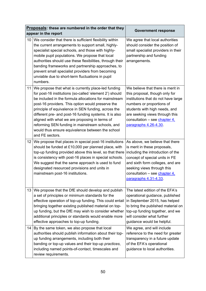|    | Proposals: these are numbered in the order that they                                                                                                                                                                                                                                                                                                                                                                                                                                                                       | <b>Government response</b>                                                                                                                                                                                                                                          |
|----|----------------------------------------------------------------------------------------------------------------------------------------------------------------------------------------------------------------------------------------------------------------------------------------------------------------------------------------------------------------------------------------------------------------------------------------------------------------------------------------------------------------------------|---------------------------------------------------------------------------------------------------------------------------------------------------------------------------------------------------------------------------------------------------------------------|
|    | appear in the report                                                                                                                                                                                                                                                                                                                                                                                                                                                                                                       |                                                                                                                                                                                                                                                                     |
| 10 | We consider that there is sufficient flexibility within<br>the current arrangements to support small, highly-<br>specialist special schools, and those with highly-<br>mobile pupil populations. We propose that local<br>authorities should use these flexibilities, through their<br>banding frameworks and partnership approaches, to<br>prevent small specialist providers from becoming<br>unviable due to short-term fluctuations in pupil<br>numbers.                                                               | We agree that local authorities<br>should consider the position of<br>small specialist providers in their<br>partnership and funding<br>arrangements.                                                                                                               |
| 11 | We propose that what is currently place-led funding<br>for post-16 institutions (so-called 'element 2') should<br>be included in the formula allocations for mainstream<br>post-16 providers. This option would preserve the<br>principle of equivalence in SEN funding, across the<br>different pre- and post-16 funding systems. It is also<br>aligned with what we are proposing in terms of<br>reforming SEN funding in mainstream schools, and<br>would thus ensure equivalence between the school<br>and FE sectors. | We believe that there is merit in<br>this proposal, though only for<br>institutions that do not have large<br>numbers or proportions of<br>students with high needs, and<br>are seeking views through this<br>consultation – see chapter 4,<br>paragraphs 4.26-4.30 |
| 12 | We propose that places in special post-16 institutions<br>should be funded at £10,000 per planned place, with<br>top-up funding provided above this level, so that there<br>is consistency with post-16 places in special schools.<br>We suggest that the same approach is used to fund<br>designated resourced provisions and units in<br>mainstream post-16 institutions.                                                                                                                                                | As above, we believe that there<br>is merit in these proposals,<br>including the introduction of the<br>concept of special units in FE<br>and sixth form colleges, and are<br>seeking views through this<br>consultation - see chapter 4,<br>paragraphs 4.31-4.33   |
| 13 | We propose that the DfE should develop and publish<br>a set of principles or minimum standards for the<br>effective operation of top-up funding. This could entail<br>bringing together existing published material on top-<br>up funding, but the DfE may wish to consider whether<br>additional principles or standards would enable more<br>effective approaches to top-up funding.                                                                                                                                     | The latest edition of the EFA's<br>operational guidance, published<br>in September 2015, has helped<br>to bring the published material on<br>top-up funding together, and we<br>will consider what further<br>guidance would be helpful.                            |
| 14 | By the same token, we also propose that local<br>authorities should publish information about their top-<br>up funding arrangements, including both their<br>banding or top-up values and their top-up practices,<br>including named points-of-contact, timescales and<br>review requirements.                                                                                                                                                                                                                             | We agree, and will include<br>reference to the need for greater<br>transparency in a future update<br>of the EFA's operational<br>guidance to local authorities.                                                                                                    |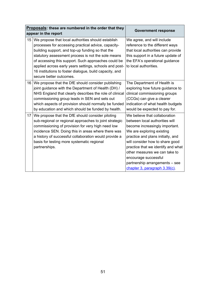| Proposals: these are numbered in the order that they<br>appear in the report |                                                                                                                                                                                                                                                                                                                                                                                                                            | <b>Government response</b>                                                                                                                                                                                                                                                                                                                                               |  |
|------------------------------------------------------------------------------|----------------------------------------------------------------------------------------------------------------------------------------------------------------------------------------------------------------------------------------------------------------------------------------------------------------------------------------------------------------------------------------------------------------------------|--------------------------------------------------------------------------------------------------------------------------------------------------------------------------------------------------------------------------------------------------------------------------------------------------------------------------------------------------------------------------|--|
| 15                                                                           | We propose that local authorities should establish<br>processes for accessing practical advice, capacity-<br>building support, and top-up funding so that the<br>statutory assessment process is not the sole means<br>of accessing this support. Such approaches could be<br>applied across early years settings, schools and post-<br>16 institutions to foster dialogue, build capacity, and<br>secure better outcomes. | We agree, and will include<br>reference to the different ways<br>that local authorities can provide<br>this support in a future update of<br>the EFA's operational guidance<br>to local authorities.                                                                                                                                                                     |  |
| 16                                                                           | We propose that the DfE should consider publishing<br>joint guidance with the Department of Health (DH) /<br>NHS England that clearly describes the role of clinical<br>commissioning group leads in SEN and sets out<br>which aspects of provision should normally be funded<br>by education and which should be funded by health.                                                                                        | The Department of Health is<br>exploring how future guidance to<br>clinical commissioning groups<br>(CCGs) can give a clearer<br>indication of what health budgets<br>would be expected to pay for.                                                                                                                                                                      |  |
| 17                                                                           | We propose that the DfE should consider piloting<br>sub-regional or regional approaches to joint strategic<br>commissioning of provision for very high need low<br>incidence SEN. Doing this in areas where there was<br>a history of successful collaboration would provide a<br>basis for testing more systematic regional<br>partnerships.                                                                              | We believe that collaboration<br>between local authorities will<br>become increasingly important.<br>We are exploring existing<br>practice and plans initially, and<br>will consider how to share good<br>practice that we identify and what<br>other measures we can take to<br>encourage successful<br>partnership arrangements - see<br>chapter 3, paragraph 3.39(c). |  |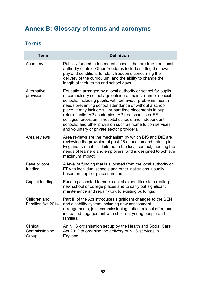## <span id="page-51-0"></span>**Annex B: Glossary of terms and acronyms**

## <span id="page-51-1"></span>**Terms**

| <b>Term</b>                        | <b>Definition</b>                                                                                                                                                                                                                                                                                                                                                                                                                                                                                                                              |
|------------------------------------|------------------------------------------------------------------------------------------------------------------------------------------------------------------------------------------------------------------------------------------------------------------------------------------------------------------------------------------------------------------------------------------------------------------------------------------------------------------------------------------------------------------------------------------------|
| Academy                            | Publicly funded independent schools that are free from local<br>authority control. Other freedoms include setting their own<br>pay and conditions for staff, freedoms concerning the<br>delivery of the curriculum, and the ability to change the<br>length of their terms and school days.                                                                                                                                                                                                                                                    |
| Alternative<br>provision           | Education arranged by a local authority or school for pupils<br>of compulsory school age outside of mainstream or special<br>schools, including pupils: with behaviour problems, health<br>needs preventing school attendance or without a school<br>place. It may include full or part time placements in pupil<br>referral units, AP academies, AP free schools or FE<br>colleges; provision in hospital schools and independent<br>schools; and other provision such as home tuition services<br>and voluntary or private sector providers. |
| Area reviews                       | Area reviews are the mechanism by which BIS and DfE are<br>reviewing the provision of post-16 education and training in<br>England, so that it is tailored to the local context, meeting the<br>needs of learners and employers, and is designed to achieve<br>maximum impact.                                                                                                                                                                                                                                                                 |
| Base or core<br>funding            | A level of funding that is allocated from the local authority or<br>EFA to individual schools and other institutions, usually<br>based on pupil or place numbers.                                                                                                                                                                                                                                                                                                                                                                              |
| Capital funding                    | Funding allocated to meet capital expenditure for creating<br>new school or college places and to carry out significant<br>maintenance and repair work to existing buildings.                                                                                                                                                                                                                                                                                                                                                                  |
| Children and<br>Families Act 2014  | Part III of the Act introduces significant changes to the SEN<br>and disability system including new assessment<br>arrangements, joint commissioning duties, a local offer, and<br>increased engagement with children, young people and<br>families.                                                                                                                                                                                                                                                                                           |
| Clinical<br>Commissioning<br>Group | An NHS organisation set up by the Health and Social Care<br>Act 2012 to organise the delivery of NHS services in<br>England.                                                                                                                                                                                                                                                                                                                                                                                                                   |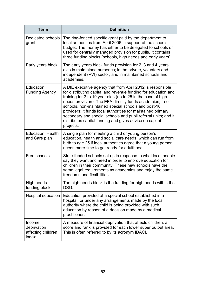| Term                                                 | <b>Definition</b>                                                                                                                                                                                                                                                                                                                                                                                                                                                                                                          |
|------------------------------------------------------|----------------------------------------------------------------------------------------------------------------------------------------------------------------------------------------------------------------------------------------------------------------------------------------------------------------------------------------------------------------------------------------------------------------------------------------------------------------------------------------------------------------------------|
| Dedicated schools<br>grant                           | The ring-fenced specific grant paid by the department to<br>local authorities from April 2006 in support of the schools<br>budget. The money has either to be delegated to schools or<br>used for centrally managed provision for pupils. It contains<br>three funding blocks (schools, high needs and early years).                                                                                                                                                                                                       |
| Early years block                                    | The early years block funds provision for 2, 3 and 4 years<br>olds in maintained nurseries; in the private, voluntary and<br>independent (PVI) sector, and in maintained schools and<br>academies.                                                                                                                                                                                                                                                                                                                         |
| Education<br><b>Funding Agency</b>                   | A DfE executive agency that from April 2012 is responsible<br>for distributing capital and revenue funding for education and<br>training for 3 to 19 year olds (up to 25 in the case of high<br>needs provision). The EFA directly funds academies, free<br>schools, non-maintained special schools and post-16<br>providers; it funds local authorities for maintained primary,<br>secondary and special schools and pupil referral units; and it<br>distributes capital funding and gives advice on capital<br>projects. |
| Education, Health<br>and Care plan                   | A single plan for meeting a child or young person's<br>education, health and social care needs, which can run from<br>birth to age 25 if local authorities agree that a young person<br>needs more time to get ready for adulthood                                                                                                                                                                                                                                                                                         |
| Free schools                                         | State-funded schools set up in response to what local people<br>say they want and need in order to improve education for<br>children in their community. These new schools have the<br>same legal requirements as academies and enjoy the same<br>freedoms and flexibilities.                                                                                                                                                                                                                                              |
| High needs<br>funding block                          | The high needs block is the funding for high needs within the<br>DSG.                                                                                                                                                                                                                                                                                                                                                                                                                                                      |
| Hospital education                                   | Education provided at a special school established in a<br>hospital, or under any arrangements made by the local<br>authority where the child is being provided with such<br>education by reason of a decision made by a medical<br>practitioner.                                                                                                                                                                                                                                                                          |
| Income<br>deprivation<br>affecting children<br>index | A measure of financial deprivation that affects children: a<br>score and rank is provided for each lower super output area.<br>This is often referred to by its acronym IDACI.                                                                                                                                                                                                                                                                                                                                             |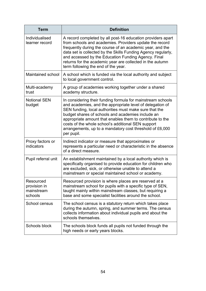| <b>Term</b>                                        | <b>Definition</b>                                                                                                                                                                                                                                                                                                                                                                                                                    |
|----------------------------------------------------|--------------------------------------------------------------------------------------------------------------------------------------------------------------------------------------------------------------------------------------------------------------------------------------------------------------------------------------------------------------------------------------------------------------------------------------|
| Individualised<br>learner record                   | A record completed by all post-16 education providers apart<br>from schools and academies. Providers update the record<br>frequently during the course of an academic year, and the<br>data set is collected by the Skills Funding Agency regularly,<br>and accessed by the Education Funding Agency. Final<br>returns for the academic year are collected in the autumn<br>term following the end of the year.                      |
| Maintained school                                  | A school which is funded via the local authority and subject<br>to local government control.                                                                                                                                                                                                                                                                                                                                         |
| Multi-academy<br>trust                             | A group of academies working together under a shared<br>academy structure.                                                                                                                                                                                                                                                                                                                                                           |
| <b>Notional SEN</b><br>budget                      | In considering their funding formula for mainstream schools<br>and academies, and the appropriate level of delegation of<br>SEN funding, local authorities must make sure that the<br>budget shares of schools and academies include an<br>appropriate amount that enables them to contribute to the<br>costs of the whole school's additional SEN support<br>arrangements, up to a mandatory cost threshold of £6,000<br>per pupil. |
| Proxy factors or<br>indicators                     | Indirect indicator or measure that approximates or<br>represents a particular need or characteristic in the absence<br>of a direct measure.                                                                                                                                                                                                                                                                                          |
| Pupil referral unit                                | An establishment maintained by a local authority which is<br>specifically organised to provide education for children who<br>are excluded, sick, or otherwise unable to attend a<br>mainstream or special maintained school or academy.                                                                                                                                                                                              |
| Resourced<br>provision in<br>mainstream<br>schools | Resourced provision is where places are reserved at a<br>mainstream school for pupils with a specific type of SEN,<br>taught mainly within mainstream classes, but requiring a<br>base and some specialist facilities around the school.                                                                                                                                                                                             |
| School census                                      | The school census is a statutory return which takes place<br>during the autumn, spring, and summer terms. The census<br>collects information about individual pupils and about the<br>schools themselves.                                                                                                                                                                                                                            |
| Schools block                                      | The schools block funds all pupils not funded through the<br>high needs or early years blocks.                                                                                                                                                                                                                                                                                                                                       |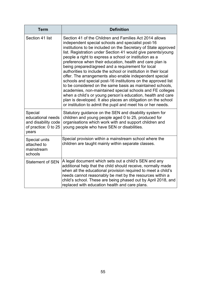| <b>Term</b>                                                                          | <b>Definition</b>                                                                                                                                                                                                                                                                                                                                                                                                                                                                                                                                                                                                                                                                                                                                                                                                                                                                                                                                   |
|--------------------------------------------------------------------------------------|-----------------------------------------------------------------------------------------------------------------------------------------------------------------------------------------------------------------------------------------------------------------------------------------------------------------------------------------------------------------------------------------------------------------------------------------------------------------------------------------------------------------------------------------------------------------------------------------------------------------------------------------------------------------------------------------------------------------------------------------------------------------------------------------------------------------------------------------------------------------------------------------------------------------------------------------------------|
| Section 41 list                                                                      | Section 41 of the Children and Families Act 2014 allows<br>independent special schools and specialist post-16<br>institutions to be included on the Secretary of State approved<br>list. Registration under Section 41 would give parents/young<br>people a right to express a school or institution as a<br>preference when their education, health and care plan is<br>being prepared/agreed and a requirement for local<br>authorities to include the school or institution in their local<br>offer. The arrangements also enable independent special<br>schools and special post-16 institutions on the approved list<br>to be considered on the same basis as maintained schools,<br>academies, non-maintained special schools and FE colleges<br>when a child's or young person's education, health and care<br>plan is developed. It also places an obligation on the school<br>or institution to admit the pupil and meet his or her needs. |
| Special<br>educational needs<br>and disability code<br>of practice: 0 to 25<br>years | Statutory guidance on the SEN and disability system for<br>children and young people aged 0 to 25, produced for<br>organisations which work with and support children and<br>young people who have SEN or disabilities.                                                                                                                                                                                                                                                                                                                                                                                                                                                                                                                                                                                                                                                                                                                             |
| Special units<br>attached to<br>mainstream<br>schools                                | Special provision within a mainstream school where the<br>children are taught mainly within separate classes.                                                                                                                                                                                                                                                                                                                                                                                                                                                                                                                                                                                                                                                                                                                                                                                                                                       |
| <b>Statement of SEN</b>                                                              | A legal document which sets out a child's SEN and any<br>additional help that the child should receive, normally made<br>when all the educational provision required to meet a child's<br>needs cannot reasonably be met by the resources within a<br>child's school. These are being phased out by April 2018, and<br>replaced with education health and care plans.                                                                                                                                                                                                                                                                                                                                                                                                                                                                                                                                                                               |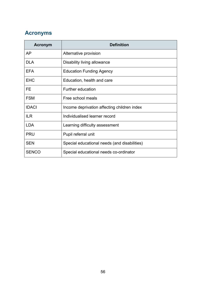## <span id="page-55-0"></span>**Acronyms**

| Acronym      | <b>Definition</b>                            |
|--------------|----------------------------------------------|
| <b>AP</b>    | Alternative provision                        |
| <b>DLA</b>   | Disability living allowance                  |
| <b>EFA</b>   | <b>Education Funding Agency</b>              |
| <b>EHC</b>   | Education, health and care                   |
| FE           | <b>Further education</b>                     |
| <b>FSM</b>   | Free school meals                            |
| <b>IDACI</b> | Income deprivation affecting children index  |
| <b>ILR</b>   | Individualised learner record                |
| <b>LDA</b>   | Learning difficulty assessment               |
| <b>PRU</b>   | Pupil referral unit                          |
| <b>SEN</b>   | Special educational needs (and disabilities) |
| <b>SENCO</b> | Special educational needs co-ordinator       |